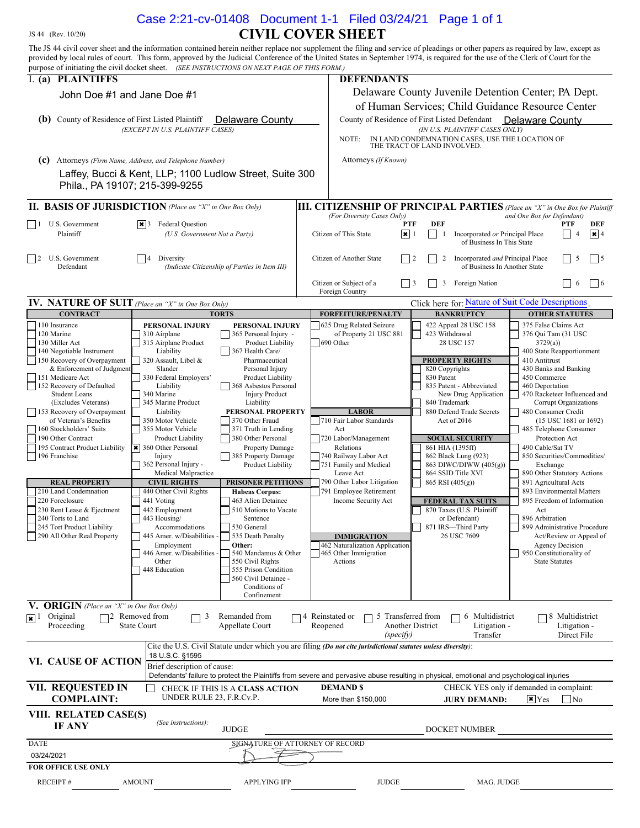## JS 44 (Rev. 10/20) **CIVIL COVER SHEET** The JS 44 civil cover sheet and the information contained herein neither replace nor supplement the filing and service of pleadings or other papers as required by law, except as Case 2:21-cv-01408 Document 1-1 Filed 03/24/21 Page 1 of 1

| provided by local rules of court. This form, approved by the Judicial Conference of the United States in September 1974, is required for the use of the Clerk of Court for the<br>purpose of initiating the civil docket sheet. (SEE INSTRUCTIONS ON NEXT PAGE OF THIS FORM.) |                                                          |                                                            |                                                                                                                                           |                                                                                    |                                                       |  |
|-------------------------------------------------------------------------------------------------------------------------------------------------------------------------------------------------------------------------------------------------------------------------------|----------------------------------------------------------|------------------------------------------------------------|-------------------------------------------------------------------------------------------------------------------------------------------|------------------------------------------------------------------------------------|-------------------------------------------------------|--|
| I. (a) PLAINTIFFS                                                                                                                                                                                                                                                             |                                                          |                                                            | <b>DEFENDANTS</b>                                                                                                                         |                                                                                    |                                                       |  |
|                                                                                                                                                                                                                                                                               |                                                          |                                                            |                                                                                                                                           | Delaware County Juvenile Detention Center; PA Dept.                                |                                                       |  |
| John Doe #1 and Jane Doe #1                                                                                                                                                                                                                                                   |                                                          |                                                            |                                                                                                                                           |                                                                                    |                                                       |  |
|                                                                                                                                                                                                                                                                               |                                                          |                                                            | of Human Services; Child Guidance Resource Center                                                                                         |                                                                                    |                                                       |  |
| <b>(b)</b> County of Residence of First Listed Plaintiff                                                                                                                                                                                                                      |                                                          | Delaware County                                            | County of Residence of First Listed Defendant<br>Delaware County                                                                          |                                                                                    |                                                       |  |
| (EXCEPT IN U.S. PLAINTIFF CASES)                                                                                                                                                                                                                                              |                                                          |                                                            | (IN U.S. PLAINTIFF CASES ONLY)<br>IN LAND CONDEMNATION CASES, USE THE LOCATION OF<br>NOTE:<br>THE TRACT OF LAND INVOLVED.                 |                                                                                    |                                                       |  |
|                                                                                                                                                                                                                                                                               |                                                          |                                                            |                                                                                                                                           |                                                                                    |                                                       |  |
| (c)                                                                                                                                                                                                                                                                           | Attorneys (Firm Name, Address, and Telephone Number)     |                                                            | Attorneys (If Known)                                                                                                                      |                                                                                    |                                                       |  |
|                                                                                                                                                                                                                                                                               | Laffey, Bucci & Kent, LLP; 1100 Ludlow Street, Suite 300 |                                                            |                                                                                                                                           |                                                                                    |                                                       |  |
| Phila., PA 19107; 215-399-9255                                                                                                                                                                                                                                                |                                                          |                                                            |                                                                                                                                           |                                                                                    |                                                       |  |
| <b>II. BASIS OF JURISDICTION</b> (Place an "X" in One Box Only)<br><b>III. CITIZENSHIP OF PRINCIPAL PARTIES</b> (Place an "X" in One Box for Plaintiff                                                                                                                        |                                                          |                                                            |                                                                                                                                           |                                                                                    |                                                       |  |
| U.S. Government<br>$ \cdot $ 3 Federal Question                                                                                                                                                                                                                               |                                                          |                                                            | (For Diversity Cases Only)<br><b>PTF</b>                                                                                                  | <b>DEF</b>                                                                         | and One Box for Defendant)<br>PTF<br>DEF              |  |
| Plaintiff                                                                                                                                                                                                                                                                     | (U.S. Government Not a Party)                            |                                                            | Citizen of This State<br>$ \mathbf{x} $ 1                                                                                                 | Incorporated or Principal Place<br>1<br>of Business In This State                  | $\sqrt{3}$<br>$\overline{4}$                          |  |
| U.S. Government                                                                                                                                                                                                                                                               |                                                          |                                                            | Citizen of Another State                                                                                                                  |                                                                                    | $\frac{1}{5}$<br>5                                    |  |
| 2<br>Defendant                                                                                                                                                                                                                                                                |                                                          | Diversity<br>(Indicate Citizenship of Parties in Item III) |                                                                                                                                           | Incorporated and Principal Place<br>$\vert$ 2<br>2<br>of Business In Another State |                                                       |  |
|                                                                                                                                                                                                                                                                               |                                                          |                                                            | Citizen or Subject of a<br>Foreign Country                                                                                                | Foreign Nation<br>3                                                                | $\vert 6$<br>-6                                       |  |
| <b>IV.</b> NATURE OF SUIT (Place an "X" in One Box Only)                                                                                                                                                                                                                      |                                                          |                                                            | Click here for: Nature of Suit Code Descriptions                                                                                          |                                                                                    |                                                       |  |
| <b>CONTRACT</b>                                                                                                                                                                                                                                                               | <b>TORTS</b>                                             |                                                            | <b>FORFEITURE/PENALTY</b>                                                                                                                 | <b>BANKRUPTCY</b>                                                                  | <b>OTHER STATUTES</b>                                 |  |
| 110 Insurance                                                                                                                                                                                                                                                                 | PERSONAL INJURY                                          | PERSONAL INJURY                                            | 625 Drug Related Seizure                                                                                                                  | 422 Appeal 28 USC 158                                                              | 375 False Claims Act                                  |  |
| 120 Marine<br>130 Miller Act                                                                                                                                                                                                                                                  | 310 Airplane<br>315 Airplane Product                     | 365 Personal Injury -<br>Product Liability                 | of Property 21 USC 881<br>690 Other                                                                                                       | 423 Withdrawal<br>28 USC 157                                                       | 376 Qui Tam (31 USC<br>3729(a)                        |  |
| 140 Negotiable Instrument                                                                                                                                                                                                                                                     | Liability                                                | 367 Health Care/                                           |                                                                                                                                           |                                                                                    | 400 State Reapportionment                             |  |
| 150 Recovery of Overpayment                                                                                                                                                                                                                                                   | 320 Assault, Libel &                                     | Pharmaceutical                                             |                                                                                                                                           | <b>PROPERTY RIGHTS</b>                                                             | 410 Antitrust                                         |  |
| & Enforcement of Judgment                                                                                                                                                                                                                                                     | Slander                                                  | Personal Injury                                            |                                                                                                                                           | 820 Copyrights                                                                     | 430 Banks and Banking                                 |  |
| 151 Medicare Act<br>152 Recovery of Defaulted                                                                                                                                                                                                                                 | 330 Federal Employers'<br>Liability                      | Product Liability<br>368 Asbestos Personal                 |                                                                                                                                           | 830 Patent<br>835 Patent - Abbreviated                                             | 450 Commerce<br>460 Deportation                       |  |
| <b>Student Loans</b>                                                                                                                                                                                                                                                          | 340 Marine                                               | <b>Injury Product</b>                                      |                                                                                                                                           | New Drug Application                                                               | 470 Racketeer Influenced and                          |  |
| (Excludes Veterans)                                                                                                                                                                                                                                                           | 345 Marine Product                                       | Liability                                                  |                                                                                                                                           | 840 Trademark                                                                      | Corrupt Organizations                                 |  |
| 153 Recovery of Overpayment                                                                                                                                                                                                                                                   | Liability                                                | PERSONAL PROPERTY                                          | <b>LABOR</b>                                                                                                                              | 880 Defend Trade Secrets                                                           | 480 Consumer Credit                                   |  |
| of Veteran's Benefits<br>160 Stockholders' Suits                                                                                                                                                                                                                              | 350 Motor Vehicle<br>355 Motor Vehicle                   | 370 Other Fraud<br>371 Truth in Lending                    | 710 Fair Labor Standards<br>Act                                                                                                           | Act of 2016                                                                        | $(15$ USC $1681$ or $1692)$<br>485 Telephone Consumer |  |
| 190 Other Contract                                                                                                                                                                                                                                                            | Product Liability                                        | 380 Other Personal                                         | 720 Labor/Management                                                                                                                      | <b>SOCIAL SECURITY</b>                                                             | Protection Act                                        |  |
| 195 Contract Product Liability                                                                                                                                                                                                                                                | × 360 Other Personal                                     | Property Damage                                            | Relations                                                                                                                                 | 861 HIA (1395ff)                                                                   | 490 Cable/Sat TV                                      |  |
| 196 Franchise                                                                                                                                                                                                                                                                 | Injury                                                   | 385 Property Damage                                        | 740 Railway Labor Act                                                                                                                     | 862 Black Lung (923)                                                               | 850 Securities/Commodities/                           |  |
|                                                                                                                                                                                                                                                                               | 362 Personal Injury -<br>Medical Malpractice             | Product Liability                                          | 751 Family and Medical<br>Leave Act                                                                                                       | 863 DIWC/DIWW (405(g))<br>864 SSID Title XVI                                       | Exchange<br>890 Other Statutory Actions               |  |
| <b>REAL PROPERTY</b>                                                                                                                                                                                                                                                          | <b>CIVIL RIGHTS</b>                                      | <b>PRISONER PETITIONS</b>                                  | 790 Other Labor Litigation                                                                                                                | 865 RSI (405(g))                                                                   | 891 Agricultural Acts                                 |  |
| 210 Land Condemnation                                                                                                                                                                                                                                                         | 440 Other Civil Rights                                   | <b>Habeas Corpus:</b>                                      | 791 Employee Retirement                                                                                                                   |                                                                                    | 893 Environmental Matters                             |  |
| 220 Foreclosure                                                                                                                                                                                                                                                               | 441 Voting                                               | 463 Alien Detainee                                         | Income Security Act                                                                                                                       | <b>FEDERAL TAX SUITS</b>                                                           | 895 Freedom of Information                            |  |
| 230 Rent Lease & Ejectment<br>240 Torts to Land                                                                                                                                                                                                                               | 442 Employment<br>443 Housing/                           | 510 Motions to Vacate<br>Sentence                          |                                                                                                                                           | 870 Taxes (U.S. Plaintiff<br>or Defendant)                                         | Act<br>896 Arbitration                                |  |
| 245 Tort Product Liability                                                                                                                                                                                                                                                    | Accommodations                                           | 530 General                                                |                                                                                                                                           | 871 IRS-Third Party                                                                | 899 Administrative Procedure                          |  |
| 290 All Other Real Property                                                                                                                                                                                                                                                   | 445 Amer. w/Disabilities                                 | 535 Death Penalty                                          | <b>IMMIGRATION</b>                                                                                                                        | 26 USC 7609                                                                        | Act/Review or Appeal of                               |  |
|                                                                                                                                                                                                                                                                               | Employment<br>446 Amer. w/Disabilities -                 | Other:<br>540 Mandamus & Other                             | 462 Naturalization Application<br>465 Other Immigration                                                                                   |                                                                                    | <b>Agency Decision</b><br>950 Constitutionality of    |  |
|                                                                                                                                                                                                                                                                               | Other                                                    | 550 Civil Rights                                           | Actions                                                                                                                                   |                                                                                    | <b>State Statutes</b>                                 |  |
|                                                                                                                                                                                                                                                                               | 448 Education                                            | 555 Prison Condition                                       |                                                                                                                                           |                                                                                    |                                                       |  |
|                                                                                                                                                                                                                                                                               |                                                          | 560 Civil Detainee -<br>Conditions of                      |                                                                                                                                           |                                                                                    |                                                       |  |
|                                                                                                                                                                                                                                                                               |                                                          | Confinement                                                |                                                                                                                                           |                                                                                    |                                                       |  |
| V. ORIGIN (Place an "X" in One Box Only)                                                                                                                                                                                                                                      |                                                          |                                                            |                                                                                                                                           |                                                                                    |                                                       |  |
| Original<br>$\overline{\star}$ 1                                                                                                                                                                                                                                              | 72 Removed from<br>3                                     | Remanded from                                              | 14 Reinstated or<br>5 Transferred from                                                                                                    | 6 Multidistrict                                                                    | 8 Multidistrict                                       |  |
| Proceeding                                                                                                                                                                                                                                                                    | <b>State Court</b>                                       | Appellate Court                                            | Reopened<br>(specify)                                                                                                                     | <b>Another District</b><br>Litigation -<br>Transfer                                | Litigation -<br>Direct File                           |  |
|                                                                                                                                                                                                                                                                               | 18 U.S.C. §1595                                          |                                                            | Cite the U.S. Civil Statute under which you are filing (Do not cite jurisdictional statutes unless diversity):                            |                                                                                    |                                                       |  |
| VI. CAUSE OF ACTION                                                                                                                                                                                                                                                           | Brief description of cause:                              |                                                            | Defendants' failure to protect the Plaintiffs from severe and pervasive abuse resulting in physical, emotional and psychological injuries |                                                                                    |                                                       |  |
| VII. REQUESTED IN                                                                                                                                                                                                                                                             |                                                          |                                                            | <b>DEMAND \$</b>                                                                                                                          |                                                                                    | CHECK YES only if demanded in complaint:              |  |
| CHECK IF THIS IS A CLASS ACTION<br>UNDER RULE 23, F.R.Cv.P.<br><b>COMPLAINT:</b>                                                                                                                                                                                              |                                                          | More than \$150,000                                        | <b>JURY DEMAND:</b>                                                                                                                       | $\vert \mathbf{x} \vert$ Yes<br> No                                                |                                                       |  |
|                                                                                                                                                                                                                                                                               |                                                          |                                                            |                                                                                                                                           |                                                                                    |                                                       |  |
| VIII. RELATED CASE(S)                                                                                                                                                                                                                                                         | (See instructions):                                      |                                                            |                                                                                                                                           |                                                                                    |                                                       |  |
| <b>IF ANY</b>                                                                                                                                                                                                                                                                 |                                                          | <b>JUDGE</b>                                               |                                                                                                                                           | DOCKET NUMBER                                                                      |                                                       |  |
| <b>DATE</b>                                                                                                                                                                                                                                                                   | SIGNATURE OF ATTORNEY OF RECORD                          |                                                            |                                                                                                                                           |                                                                                    |                                                       |  |
| 03/24/2021                                                                                                                                                                                                                                                                    |                                                          |                                                            |                                                                                                                                           |                                                                                    |                                                       |  |
| <b>FOR OFFICE USE ONLY</b>                                                                                                                                                                                                                                                    |                                                          |                                                            |                                                                                                                                           |                                                                                    |                                                       |  |
| RECEIPT#                                                                                                                                                                                                                                                                      | <b>AMOUNT</b>                                            | <b>APPLYING IFP</b>                                        | <b>JUDGE</b>                                                                                                                              | MAG. JUDGE                                                                         |                                                       |  |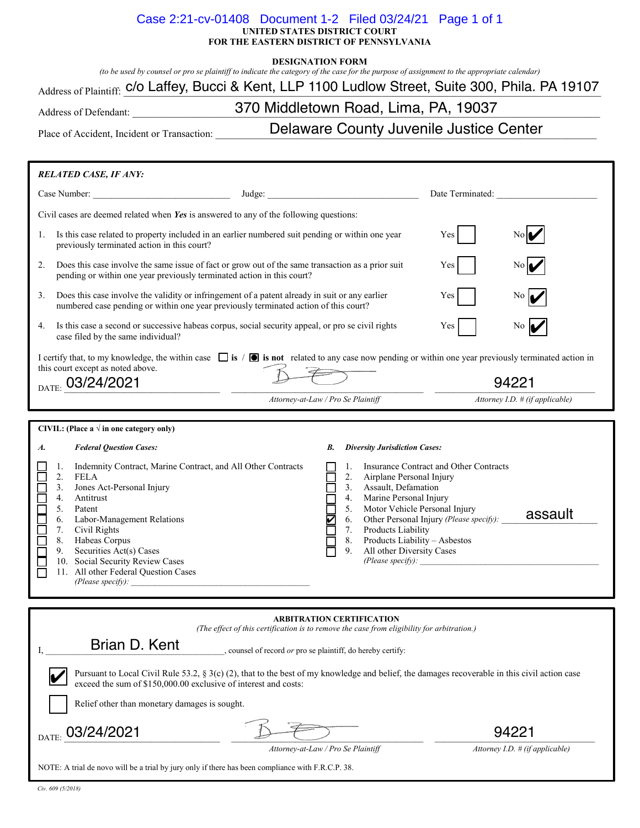#### **UNITED STATES DISTRICT COURT FOR THE EASTERN DISTRICT OF PENNSYLVANIA** Case 2:21-cv-01408 Document 1-2 Filed 03/24/21 Page 1 of 1

#### **DESIGNATION FORM**

*(to be used by counsel or pro se plaintiff to indicate the category of the case for the purpose of assignment to the appropriate calendar)*

 $_{\rm Address\ of\ Plaintiff.}$  C/O Laffey, Bucci & Kent, LLP 1100 Ludlow Street, Suite 300, Phila. PA 19107

Address of Defendant: **Example 2018** 370 Middletown Road, Lima, PA, 19037

Place of Accident, Incident or Transaction: **Lace County Juvenile Justice Center** 

| <b>RELATED CASE, IF ANY:</b>                                                                                                                                                                                                                                                                                                                                                                       |                                                                                                                                                                                                                                                                                                                                                                                                                                                                                                                                                                                                                                         |                                 |  |  |  |
|----------------------------------------------------------------------------------------------------------------------------------------------------------------------------------------------------------------------------------------------------------------------------------------------------------------------------------------------------------------------------------------------------|-----------------------------------------------------------------------------------------------------------------------------------------------------------------------------------------------------------------------------------------------------------------------------------------------------------------------------------------------------------------------------------------------------------------------------------------------------------------------------------------------------------------------------------------------------------------------------------------------------------------------------------------|---------------------------------|--|--|--|
|                                                                                                                                                                                                                                                                                                                                                                                                    |                                                                                                                                                                                                                                                                                                                                                                                                                                                                                                                                                                                                                                         | Date Terminated:                |  |  |  |
|                                                                                                                                                                                                                                                                                                                                                                                                    | Civil cases are deemed related when Yes is answered to any of the following questions:                                                                                                                                                                                                                                                                                                                                                                                                                                                                                                                                                  |                                 |  |  |  |
| 1.<br>previously terminated action in this court?                                                                                                                                                                                                                                                                                                                                                  | Is this case related to property included in an earlier numbered suit pending or within one year                                                                                                                                                                                                                                                                                                                                                                                                                                                                                                                                        | Yes                             |  |  |  |
| 2.                                                                                                                                                                                                                                                                                                                                                                                                 | Does this case involve the same issue of fact or grow out of the same transaction as a prior suit<br>pending or within one year previously terminated action in this court?                                                                                                                                                                                                                                                                                                                                                                                                                                                             | Yes                             |  |  |  |
| 3.                                                                                                                                                                                                                                                                                                                                                                                                 | Does this case involve the validity or infringement of a patent already in suit or any earlier<br>numbered case pending or within one year previously terminated action of this court?                                                                                                                                                                                                                                                                                                                                                                                                                                                  | Yes                             |  |  |  |
| 4.<br>case filed by the same individual?                                                                                                                                                                                                                                                                                                                                                           | Is this case a second or successive habeas corpus, social security appeal, or pro se civil rights                                                                                                                                                                                                                                                                                                                                                                                                                                                                                                                                       | Yes  <br>No Ia                  |  |  |  |
| I certify that, to my knowledge, the within case $\Box$ is $\Box$ is not related to any case now pending or within one year previously terminated action in<br>this court except as noted above.<br>DATE: 03/24/2021<br>94221                                                                                                                                                                      |                                                                                                                                                                                                                                                                                                                                                                                                                                                                                                                                                                                                                                         |                                 |  |  |  |
|                                                                                                                                                                                                                                                                                                                                                                                                    | Attorney-at-Law / Pro Se Plaintiff                                                                                                                                                                                                                                                                                                                                                                                                                                                                                                                                                                                                      | Attorney I.D. # (if applicable) |  |  |  |
| CIVIL: (Place a $\sqrt{ }$ in one category only)                                                                                                                                                                                                                                                                                                                                                   |                                                                                                                                                                                                                                                                                                                                                                                                                                                                                                                                                                                                                                         |                                 |  |  |  |
| <b>Federal Question Cases:</b><br>A.<br>1.<br>2.<br><b>FELA</b><br>3 <sub>1</sub><br>4.<br>Antitrust<br>5.<br>Patent<br>Г<br>6.<br>7.<br>Civil Rights<br>8. Habeas Corpus<br>Г<br>Securities Act(s) Cases<br>9.<br>Г                                                                                                                                                                               | <b>Diversity Jurisdiction Cases:</b><br>В.<br>Indemnity Contract, Marine Contract, and All Other Contracts<br>Insurance Contract and Other Contracts<br>1.<br>2.<br>Airplane Personal Injury<br>Jones Act-Personal Injury<br>3. Assault, Defamation<br>4. Marine Personal Injury<br>5. Motor Vehicle Personal Injury<br>assault<br>6. Other Personal Injury (Please specify):<br>Labor-Management Relations<br>$\overline{\mathsf{K}}$<br>7. Products Liability<br>8. Products Liability - Asbestos<br>All other Diversity Cases<br>9.<br>10. Social Security Review Cases<br>11. All other Federal Question Cases<br>(Please specify): |                                 |  |  |  |
| <b>ARBITRATION CERTIFICATION</b>                                                                                                                                                                                                                                                                                                                                                                   |                                                                                                                                                                                                                                                                                                                                                                                                                                                                                                                                                                                                                                         |                                 |  |  |  |
| (The effect of this certification is to remove the case from eligibility for arbitration.)<br>Brian D. Kent<br>_, counsel of record or pro se plaintiff, do hereby certify:<br>Pursuant to Local Civil Rule 53.2, $\S$ 3(c) (2), that to the best of my knowledge and belief, the damages recoverable in this civil action case<br>exceed the sum of \$150,000.00 exclusive of interest and costs: |                                                                                                                                                                                                                                                                                                                                                                                                                                                                                                                                                                                                                                         |                                 |  |  |  |
| Relief other than monetary damages is sought.                                                                                                                                                                                                                                                                                                                                                      |                                                                                                                                                                                                                                                                                                                                                                                                                                                                                                                                                                                                                                         |                                 |  |  |  |
| 03/24/2021<br>DATE:                                                                                                                                                                                                                                                                                                                                                                                |                                                                                                                                                                                                                                                                                                                                                                                                                                                                                                                                                                                                                                         | $9422^3$                        |  |  |  |
| Attorney-at-Law / Pro Se Plaintiff<br>Attorney I.D. $#$ (if applicable)<br>NOTE: A trial de novo will be a trial by jury only if there has been compliance with F.R.C.P. 38.                                                                                                                                                                                                                       |                                                                                                                                                                                                                                                                                                                                                                                                                                                                                                                                                                                                                                         |                                 |  |  |  |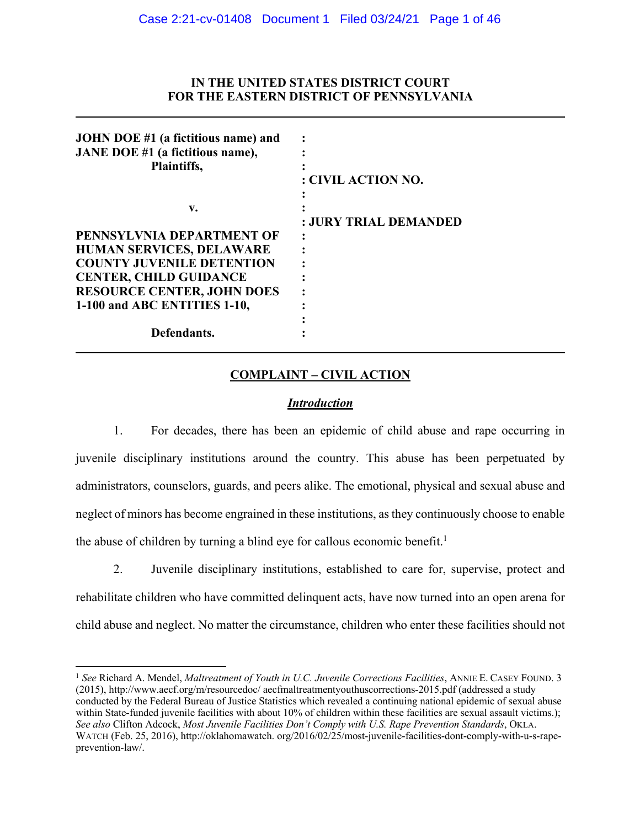## **IN THE UNITED STATES DISTRICT COURT FOR THE EASTERN DISTRICT OF PENNSYLVANIA**

| JOHN DOE #1 (a fictitious name) and |                       |
|-------------------------------------|-----------------------|
| JANE DOE #1 (a fictitious name),    |                       |
| Plaintiffs,                         |                       |
|                                     | : CIVIL ACTION NO.    |
|                                     |                       |
| v.                                  |                       |
|                                     | : JURY TRIAL DEMANDED |
| PENNSYLVNIA DEPARTMENT OF           |                       |
| <b>HUMAN SERVICES, DELAWARE</b>     |                       |
| <b>COUNTY JUVENILE DETENTION</b>    |                       |
| <b>CENTER, CHILD GUIDANCE</b>       |                       |
| <b>RESOURCE CENTER, JOHN DOES</b>   |                       |
| 1-100 and ABC ENTITIES 1-10,        |                       |
|                                     |                       |
| Defendants.                         |                       |

## **COMPLAINT – CIVIL ACTION**

## *Introduction*

1. For decades, there has been an epidemic of child abuse and rape occurring in juvenile disciplinary institutions around the country. This abuse has been perpetuated by administrators, counselors, guards, and peers alike. The emotional, physical and sexual abuse and neglect of minors has become engrained in these institutions, as they continuously choose to enable the abuse of children by turning a blind eye for callous economic benefit.<sup>1</sup>

2. Juvenile disciplinary institutions, established to care for, supervise, protect and rehabilitate children who have committed delinquent acts, have now turned into an open arena for child abuse and neglect. No matter the circumstance, children who enter these facilities should not

 <sup>1</sup> *See* Richard A. Mendel, *Maltreatment of Youth in U.C. Juvenile Corrections Facilities*, ANNIE E. CASEY FOUND. 3 (2015), http://www.aecf.org/m/resourcedoc/ aecfmaltreatmentyouthuscorrections-2015.pdf (addressed a study conducted by the Federal Bureau of Justice Statistics which revealed a continuing national epidemic of sexual abuse within State-funded juvenile facilities with about 10% of children within these facilities are sexual assault victims.); *See also* Clifton Adcock, *Most Juvenile Facilities Don't Comply with U.S. Rape Prevention Standards*, OKLA. WATCH (Feb. 25, 2016), http://oklahomawatch. org/2016/02/25/most-juvenile-facilities-dont-comply-with-u-s-rapeprevention-law/.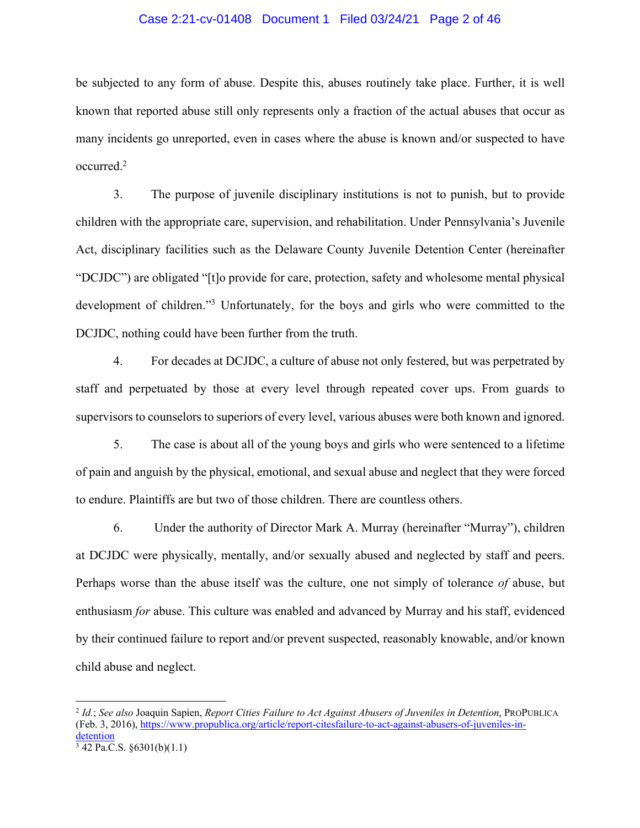#### Case 2:21-cv-01408 Document 1 Filed 03/24/21 Page 2 of 46

be subjected to any form of abuse. Despite this, abuses routinely take place. Further, it is well known that reported abuse still only represents only a fraction of the actual abuses that occur as many incidents go unreported, even in cases where the abuse is known and/or suspected to have occurred.2

3. The purpose of juvenile disciplinary institutions is not to punish, but to provide children with the appropriate care, supervision, and rehabilitation. Under Pennsylvania's Juvenile Act, disciplinary facilities such as the Delaware County Juvenile Detention Center (hereinafter "DCJDC") are obligated "[t]o provide for care, protection, safety and wholesome mental physical development of children."3 Unfortunately, for the boys and girls who were committed to the DCJDC, nothing could have been further from the truth.

4. For decades at DCJDC, a culture of abuse not only festered, but was perpetrated by staff and perpetuated by those at every level through repeated cover ups. From guards to supervisors to counselors to superiors of every level, various abuses were both known and ignored.

5. The case is about all of the young boys and girls who were sentenced to a lifetime of pain and anguish by the physical, emotional, and sexual abuse and neglect that they were forced to endure. Plaintiffs are but two of those children. There are countless others.

6. Under the authority of Director Mark A. Murray (hereinafter "Murray"), children at DCJDC were physically, mentally, and/or sexually abused and neglected by staff and peers. Perhaps worse than the abuse itself was the culture, one not simply of tolerance *of* abuse, but enthusiasm *for* abuse. This culture was enabled and advanced by Murray and his staff, evidenced by their continued failure to report and/or prevent suspected, reasonably knowable, and/or known child abuse and neglect.

 <sup>2</sup> *Id.*; *See also* Joaquin Sapien, *Report Cities Failure to Act Against Abusers of Juveniles in Detention*, PROPUBLICA (Feb. 3, 2016), https://www.propublica.org/article/report-citesfailure-to-act-against-abusers-of-juveniles-indetention

 $3$  42 Pa.C.S. §6301(b)(1.1)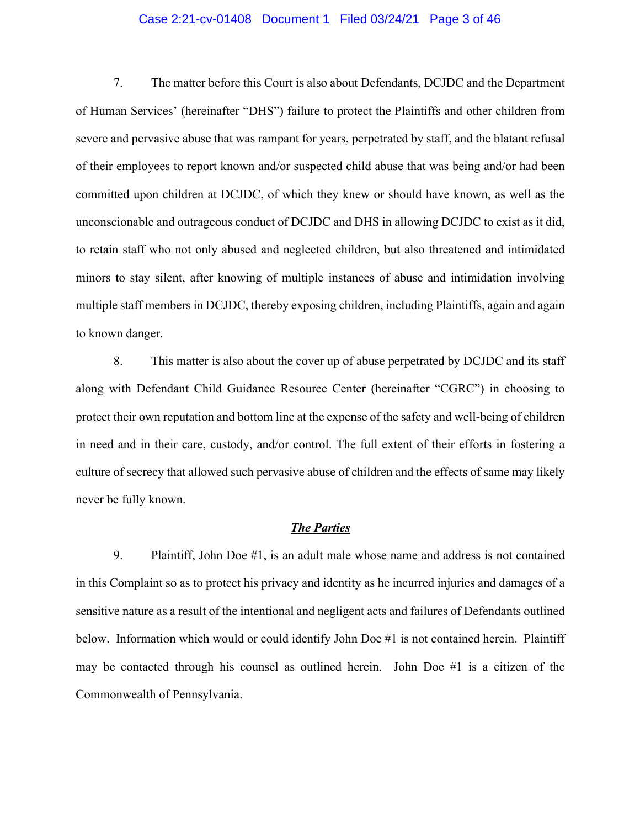#### Case 2:21-cv-01408 Document 1 Filed 03/24/21 Page 3 of 46

7. The matter before this Court is also about Defendants, DCJDC and the Department of Human Services' (hereinafter "DHS") failure to protect the Plaintiffs and other children from severe and pervasive abuse that was rampant for years, perpetrated by staff, and the blatant refusal of their employees to report known and/or suspected child abuse that was being and/or had been committed upon children at DCJDC, of which they knew or should have known, as well as the unconscionable and outrageous conduct of DCJDC and DHS in allowing DCJDC to exist as it did, to retain staff who not only abused and neglected children, but also threatened and intimidated minors to stay silent, after knowing of multiple instances of abuse and intimidation involving multiple staff members in DCJDC, thereby exposing children, including Plaintiffs, again and again to known danger.

8. This matter is also about the cover up of abuse perpetrated by DCJDC and its staff along with Defendant Child Guidance Resource Center (hereinafter "CGRC") in choosing to protect their own reputation and bottom line at the expense of the safety and well-being of children in need and in their care, custody, and/or control. The full extent of their efforts in fostering a culture of secrecy that allowed such pervasive abuse of children and the effects of same may likely never be fully known.

#### *The Parties*

9. Plaintiff, John Doe #1, is an adult male whose name and address is not contained in this Complaint so as to protect his privacy and identity as he incurred injuries and damages of a sensitive nature as a result of the intentional and negligent acts and failures of Defendants outlined below. Information which would or could identify John Doe #1 is not contained herein. Plaintiff may be contacted through his counsel as outlined herein. John Doe #1 is a citizen of the Commonwealth of Pennsylvania.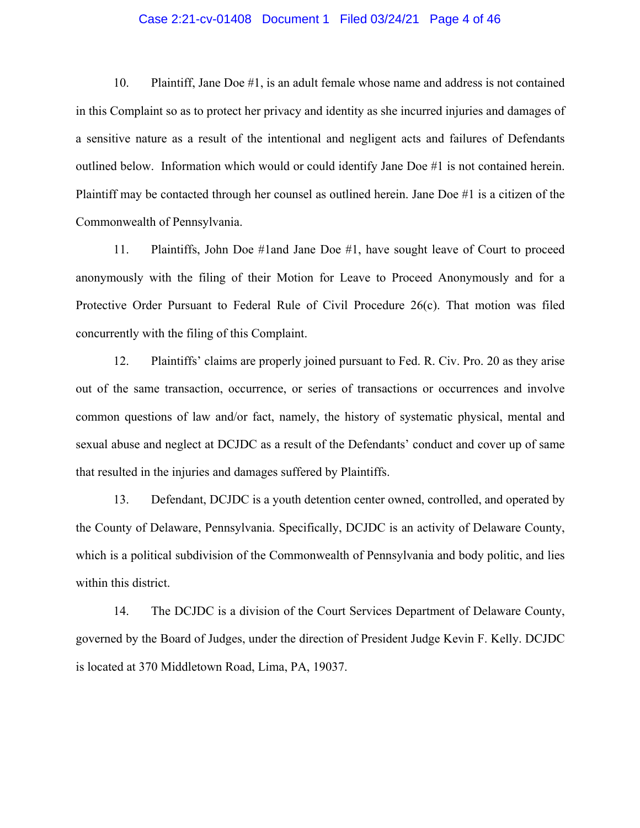## Case 2:21-cv-01408 Document 1 Filed 03/24/21 Page 4 of 46

10. Plaintiff, Jane Doe #1, is an adult female whose name and address is not contained in this Complaint so as to protect her privacy and identity as she incurred injuries and damages of a sensitive nature as a result of the intentional and negligent acts and failures of Defendants outlined below. Information which would or could identify Jane Doe #1 is not contained herein. Plaintiff may be contacted through her counsel as outlined herein. Jane Doe #1 is a citizen of the Commonwealth of Pennsylvania.

11. Plaintiffs, John Doe #1and Jane Doe #1, have sought leave of Court to proceed anonymously with the filing of their Motion for Leave to Proceed Anonymously and for a Protective Order Pursuant to Federal Rule of Civil Procedure 26(c). That motion was filed concurrently with the filing of this Complaint.

12. Plaintiffs' claims are properly joined pursuant to Fed. R. Civ. Pro. 20 as they arise out of the same transaction, occurrence, or series of transactions or occurrences and involve common questions of law and/or fact, namely, the history of systematic physical, mental and sexual abuse and neglect at DCJDC as a result of the Defendants' conduct and cover up of same that resulted in the injuries and damages suffered by Plaintiffs.

13. Defendant, DCJDC is a youth detention center owned, controlled, and operated by the County of Delaware, Pennsylvania. Specifically, DCJDC is an activity of Delaware County, which is a political subdivision of the Commonwealth of Pennsylvania and body politic, and lies within this district.

14. The DCJDC is a division of the Court Services Department of Delaware County, governed by the Board of Judges, under the direction of President Judge Kevin F. Kelly. DCJDC is located at 370 Middletown Road, Lima, PA, 19037.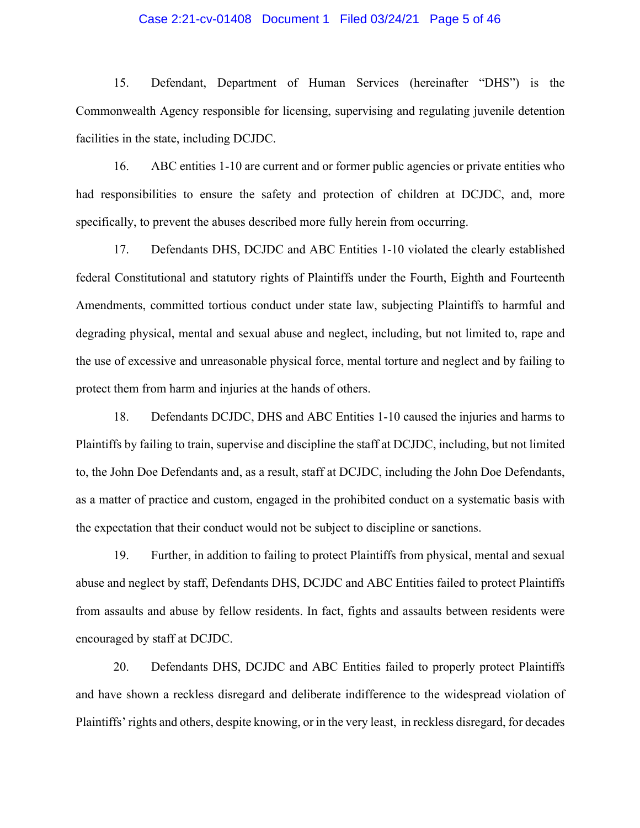#### Case 2:21-cv-01408 Document 1 Filed 03/24/21 Page 5 of 46

15. Defendant, Department of Human Services (hereinafter "DHS") is the Commonwealth Agency responsible for licensing, supervising and regulating juvenile detention facilities in the state, including DCJDC.

16. ABC entities 1-10 are current and or former public agencies or private entities who had responsibilities to ensure the safety and protection of children at DCJDC, and, more specifically, to prevent the abuses described more fully herein from occurring.

17. Defendants DHS, DCJDC and ABC Entities 1-10 violated the clearly established federal Constitutional and statutory rights of Plaintiffs under the Fourth, Eighth and Fourteenth Amendments, committed tortious conduct under state law, subjecting Plaintiffs to harmful and degrading physical, mental and sexual abuse and neglect, including, but not limited to, rape and the use of excessive and unreasonable physical force, mental torture and neglect and by failing to protect them from harm and injuries at the hands of others.

18. Defendants DCJDC, DHS and ABC Entities 1-10 caused the injuries and harms to Plaintiffs by failing to train, supervise and discipline the staff at DCJDC, including, but not limited to, the John Doe Defendants and, as a result, staff at DCJDC, including the John Doe Defendants, as a matter of practice and custom, engaged in the prohibited conduct on a systematic basis with the expectation that their conduct would not be subject to discipline or sanctions.

19. Further, in addition to failing to protect Plaintiffs from physical, mental and sexual abuse and neglect by staff, Defendants DHS, DCJDC and ABC Entities failed to protect Plaintiffs from assaults and abuse by fellow residents. In fact, fights and assaults between residents were encouraged by staff at DCJDC.

20. Defendants DHS, DCJDC and ABC Entities failed to properly protect Plaintiffs and have shown a reckless disregard and deliberate indifference to the widespread violation of Plaintiffs' rights and others, despite knowing, or in the very least, in reckless disregard, for decades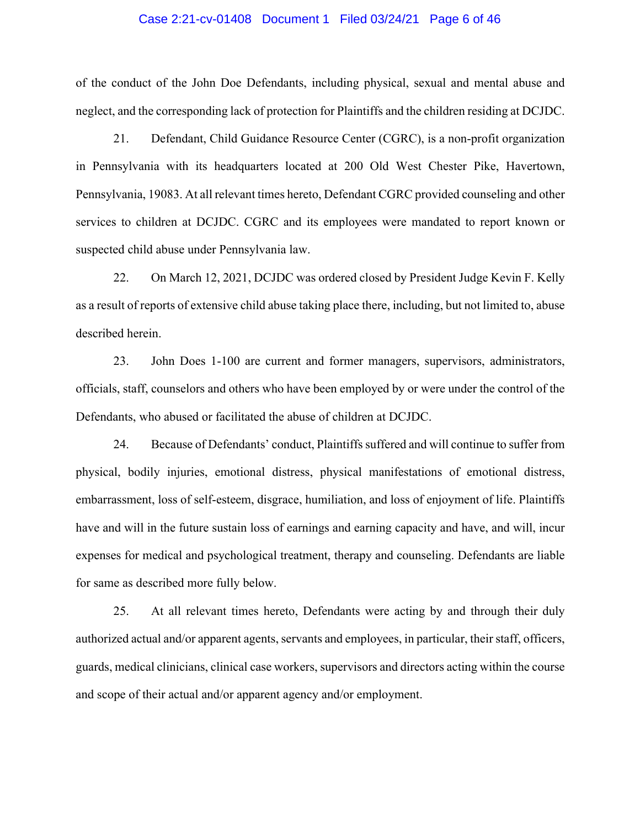#### Case 2:21-cv-01408 Document 1 Filed 03/24/21 Page 6 of 46

of the conduct of the John Doe Defendants, including physical, sexual and mental abuse and neglect, and the corresponding lack of protection for Plaintiffs and the children residing at DCJDC.

21. Defendant, Child Guidance Resource Center (CGRC), is a non-profit organization in Pennsylvania with its headquarters located at 200 Old West Chester Pike, Havertown, Pennsylvania, 19083. At all relevant times hereto, Defendant CGRC provided counseling and other services to children at DCJDC. CGRC and its employees were mandated to report known or suspected child abuse under Pennsylvania law.

22. On March 12, 2021, DCJDC was ordered closed by President Judge Kevin F. Kelly as a result of reports of extensive child abuse taking place there, including, but not limited to, abuse described herein.

23. John Does 1-100 are current and former managers, supervisors, administrators, officials, staff, counselors and others who have been employed by or were under the control of the Defendants, who abused or facilitated the abuse of children at DCJDC.

24. Because of Defendants' conduct, Plaintiffs suffered and will continue to suffer from physical, bodily injuries, emotional distress, physical manifestations of emotional distress, embarrassment, loss of self-esteem, disgrace, humiliation, and loss of enjoyment of life. Plaintiffs have and will in the future sustain loss of earnings and earning capacity and have, and will, incur expenses for medical and psychological treatment, therapy and counseling. Defendants are liable for same as described more fully below.

25. At all relevant times hereto, Defendants were acting by and through their duly authorized actual and/or apparent agents, servants and employees, in particular, their staff, officers, guards, medical clinicians, clinical case workers, supervisors and directors acting within the course and scope of their actual and/or apparent agency and/or employment.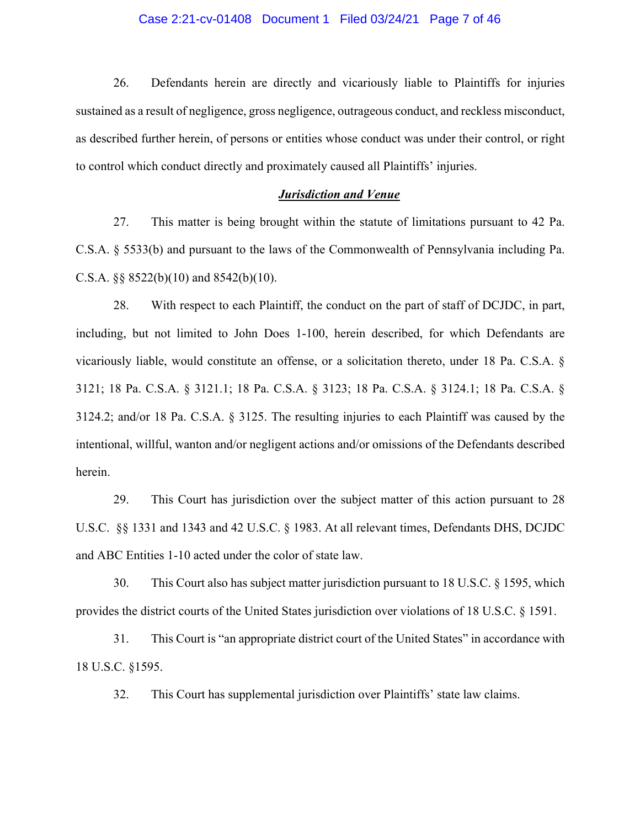#### Case 2:21-cv-01408 Document 1 Filed 03/24/21 Page 7 of 46

26. Defendants herein are directly and vicariously liable to Plaintiffs for injuries sustained as a result of negligence, gross negligence, outrageous conduct, and reckless misconduct, as described further herein, of persons or entities whose conduct was under their control, or right to control which conduct directly and proximately caused all Plaintiffs' injuries.

#### *Jurisdiction and Venue*

27. This matter is being brought within the statute of limitations pursuant to 42 Pa. C.S.A. § 5533(b) and pursuant to the laws of the Commonwealth of Pennsylvania including Pa. C.S.A. §§ 8522(b)(10) and 8542(b)(10).

28. With respect to each Plaintiff, the conduct on the part of staff of DCJDC, in part, including, but not limited to John Does 1-100, herein described, for which Defendants are vicariously liable, would constitute an offense, or a solicitation thereto, under 18 Pa. C.S.A. § 3121; 18 Pa. C.S.A. § 3121.1; 18 Pa. C.S.A. § 3123; 18 Pa. C.S.A. § 3124.1; 18 Pa. C.S.A. § 3124.2; and/or 18 Pa. C.S.A. § 3125. The resulting injuries to each Plaintiff was caused by the intentional, willful, wanton and/or negligent actions and/or omissions of the Defendants described herein.

29. This Court has jurisdiction over the subject matter of this action pursuant to 28 U.S.C. §§ 1331 and 1343 and 42 U.S.C. § 1983. At all relevant times, Defendants DHS, DCJDC and ABC Entities 1-10 acted under the color of state law.

30. This Court also has subject matter jurisdiction pursuant to 18 U.S.C. § 1595, which provides the district courts of the United States jurisdiction over violations of 18 U.S.C. § 1591.

31. This Court is "an appropriate district court of the United States" in accordance with 18 U.S.C. §1595.

32. This Court has supplemental jurisdiction over Plaintiffs' state law claims.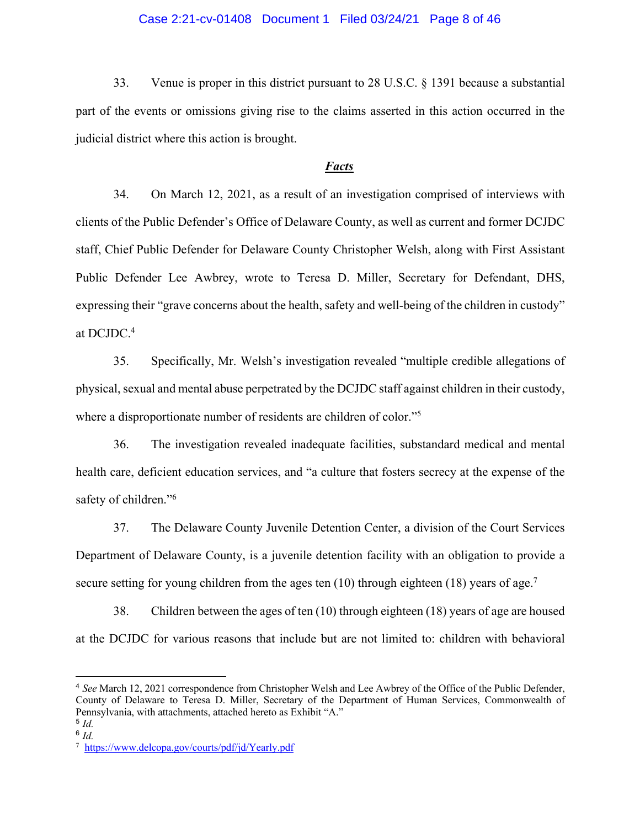### Case 2:21-cv-01408 Document 1 Filed 03/24/21 Page 8 of 46

33. Venue is proper in this district pursuant to 28 U.S.C. § 1391 because a substantial part of the events or omissions giving rise to the claims asserted in this action occurred in the judicial district where this action is brought.

## *Facts*

34. On March 12, 2021, as a result of an investigation comprised of interviews with clients of the Public Defender's Office of Delaware County, as well as current and former DCJDC staff, Chief Public Defender for Delaware County Christopher Welsh, along with First Assistant Public Defender Lee Awbrey, wrote to Teresa D. Miller, Secretary for Defendant, DHS, expressing their "grave concerns about the health, safety and well-being of the children in custody" at DCJDC.4

35. Specifically, Mr. Welsh's investigation revealed "multiple credible allegations of physical, sexual and mental abuse perpetrated by the DCJDC staff against children in their custody, where a disproportionate number of residents are children of color."<sup>5</sup>

36. The investigation revealed inadequate facilities, substandard medical and mental health care, deficient education services, and "a culture that fosters secrecy at the expense of the safety of children."<sup>6</sup>

37. The Delaware County Juvenile Detention Center, a division of the Court Services Department of Delaware County, is a juvenile detention facility with an obligation to provide a secure setting for young children from the ages ten  $(10)$  through eighteen  $(18)$  years of age.<sup>7</sup>

38. Children between the ages of ten (10) through eighteen (18) years of age are housed at the DCJDC for various reasons that include but are not limited to: children with behavioral

1

<sup>4</sup> *See* March 12, 2021 correspondence from Christopher Welsh and Lee Awbrey of the Office of the Public Defender, County of Delaware to Teresa D. Miller, Secretary of the Department of Human Services, Commonwealth of Pennsylvania, with attachments, attached hereto as Exhibit "A."

<sup>5</sup> *Id.* <sup>6</sup> *Id.*

<sup>7</sup> https://www.delcopa.gov/courts/pdf/jd/Yearly.pdf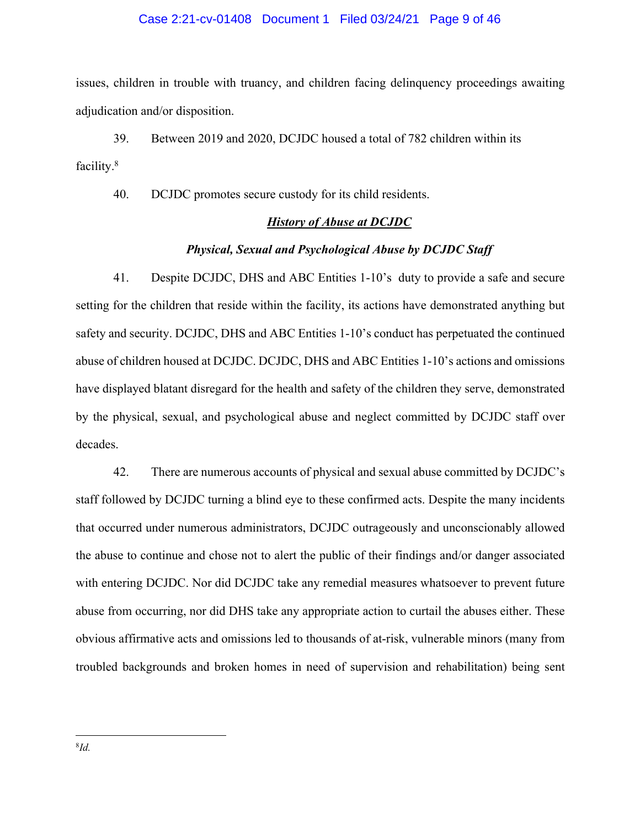#### Case 2:21-cv-01408 Document 1 Filed 03/24/21 Page 9 of 46

issues, children in trouble with truancy, and children facing delinquency proceedings awaiting adjudication and/or disposition.

39. Between 2019 and 2020, DCJDC housed a total of 782 children within its facility.8

40. DCJDC promotes secure custody for its child residents.

#### *History of Abuse at DCJDC*

#### *Physical, Sexual and Psychological Abuse by DCJDC Staff*

41. Despite DCJDC, DHS and ABC Entities 1-10's duty to provide a safe and secure setting for the children that reside within the facility, its actions have demonstrated anything but safety and security. DCJDC, DHS and ABC Entities 1-10's conduct has perpetuated the continued abuse of children housed at DCJDC. DCJDC, DHS and ABC Entities 1-10's actions and omissions have displayed blatant disregard for the health and safety of the children they serve, demonstrated by the physical, sexual, and psychological abuse and neglect committed by DCJDC staff over decades.

42. There are numerous accounts of physical and sexual abuse committed by DCJDC's staff followed by DCJDC turning a blind eye to these confirmed acts. Despite the many incidents that occurred under numerous administrators, DCJDC outrageously and unconscionably allowed the abuse to continue and chose not to alert the public of their findings and/or danger associated with entering DCJDC. Nor did DCJDC take any remedial measures whatsoever to prevent future abuse from occurring, nor did DHS take any appropriate action to curtail the abuses either. These obvious affirmative acts and omissions led to thousands of at-risk, vulnerable minors (many from troubled backgrounds and broken homes in need of supervision and rehabilitation) being sent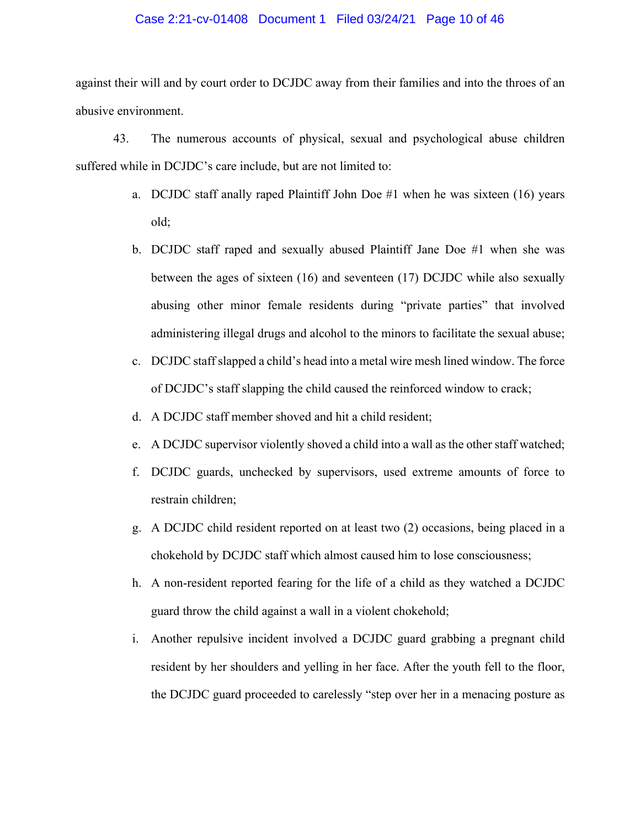#### Case 2:21-cv-01408 Document 1 Filed 03/24/21 Page 10 of 46

against their will and by court order to DCJDC away from their families and into the throes of an abusive environment.

43. The numerous accounts of physical, sexual and psychological abuse children suffered while in DCJDC's care include, but are not limited to:

- a. DCJDC staff anally raped Plaintiff John Doe #1 when he was sixteen (16) years old;
- b. DCJDC staff raped and sexually abused Plaintiff Jane Doe #1 when she was between the ages of sixteen (16) and seventeen (17) DCJDC while also sexually abusing other minor female residents during "private parties" that involved administering illegal drugs and alcohol to the minors to facilitate the sexual abuse;
- c. DCJDC staff slapped a child's head into a metal wire mesh lined window. The force of DCJDC's staff slapping the child caused the reinforced window to crack;
- d. A DCJDC staff member shoved and hit a child resident;
- e. A DCJDC supervisor violently shoved a child into a wall as the other staff watched;
- f. DCJDC guards, unchecked by supervisors, used extreme amounts of force to restrain children;
- g. A DCJDC child resident reported on at least two (2) occasions, being placed in a chokehold by DCJDC staff which almost caused him to lose consciousness;
- h. A non-resident reported fearing for the life of a child as they watched a DCJDC guard throw the child against a wall in a violent chokehold;
- i. Another repulsive incident involved a DCJDC guard grabbing a pregnant child resident by her shoulders and yelling in her face. After the youth fell to the floor, the DCJDC guard proceeded to carelessly "step over her in a menacing posture as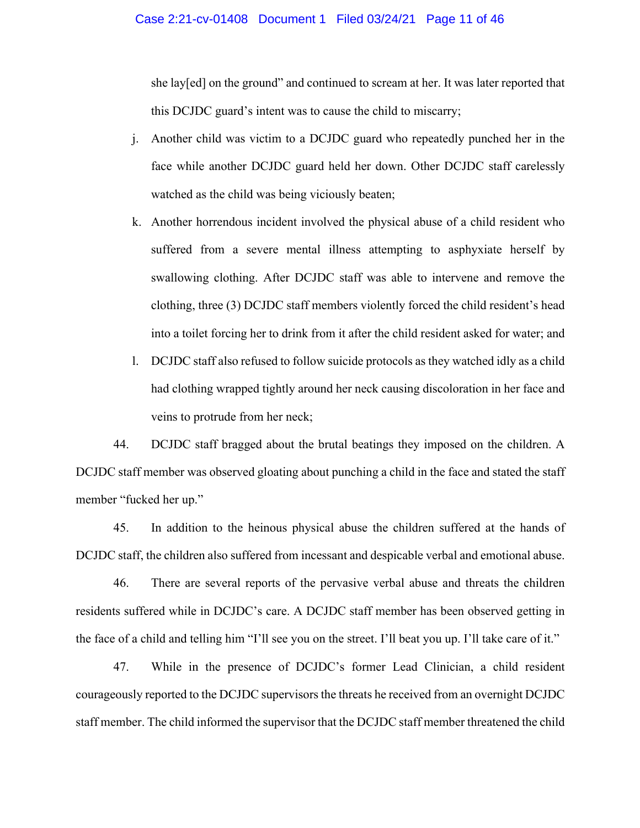she lay[ed] on the ground" and continued to scream at her. It was later reported that this DCJDC guard's intent was to cause the child to miscarry;

- j. Another child was victim to a DCJDC guard who repeatedly punched her in the face while another DCJDC guard held her down. Other DCJDC staff carelessly watched as the child was being viciously beaten;
- k. Another horrendous incident involved the physical abuse of a child resident who suffered from a severe mental illness attempting to asphyxiate herself by swallowing clothing. After DCJDC staff was able to intervene and remove the clothing, three (3) DCJDC staff members violently forced the child resident's head into a toilet forcing her to drink from it after the child resident asked for water; and
- l. DCJDC staff also refused to follow suicide protocols as they watched idly as a child had clothing wrapped tightly around her neck causing discoloration in her face and veins to protrude from her neck;

44. DCJDC staff bragged about the brutal beatings they imposed on the children. A DCJDC staff member was observed gloating about punching a child in the face and stated the staff member "fucked her up."

45. In addition to the heinous physical abuse the children suffered at the hands of DCJDC staff, the children also suffered from incessant and despicable verbal and emotional abuse.

46. There are several reports of the pervasive verbal abuse and threats the children residents suffered while in DCJDC's care. A DCJDC staff member has been observed getting in the face of a child and telling him "I'll see you on the street. I'll beat you up. I'll take care of it."

47. While in the presence of DCJDC's former Lead Clinician, a child resident courageously reported to the DCJDC supervisors the threats he received from an overnight DCJDC staff member. The child informed the supervisor that the DCJDC staff member threatened the child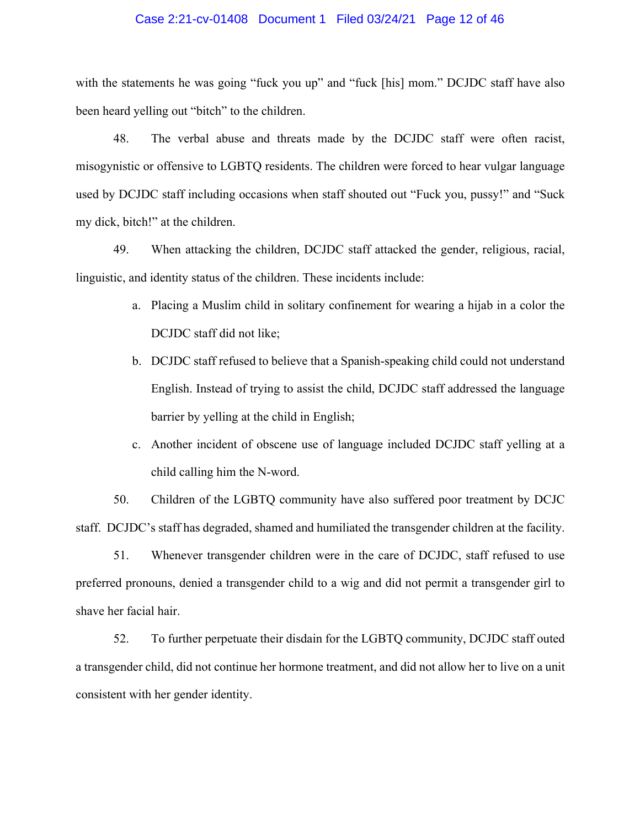#### Case 2:21-cv-01408 Document 1 Filed 03/24/21 Page 12 of 46

with the statements he was going "fuck you up" and "fuck [his] mom." DCJDC staff have also been heard yelling out "bitch" to the children.

48. The verbal abuse and threats made by the DCJDC staff were often racist, misogynistic or offensive to LGBTQ residents. The children were forced to hear vulgar language used by DCJDC staff including occasions when staff shouted out "Fuck you, pussy!" and "Suck my dick, bitch!" at the children.

49. When attacking the children, DCJDC staff attacked the gender, religious, racial, linguistic, and identity status of the children. These incidents include:

- a. Placing a Muslim child in solitary confinement for wearing a hijab in a color the DCJDC staff did not like;
- b. DCJDC staff refused to believe that a Spanish-speaking child could not understand English. Instead of trying to assist the child, DCJDC staff addressed the language barrier by yelling at the child in English;
- c. Another incident of obscene use of language included DCJDC staff yelling at a child calling him the N-word.

50. Children of the LGBTQ community have also suffered poor treatment by DCJC staff. DCJDC's staff has degraded, shamed and humiliated the transgender children at the facility.

51. Whenever transgender children were in the care of DCJDC, staff refused to use preferred pronouns, denied a transgender child to a wig and did not permit a transgender girl to shave her facial hair.

52. To further perpetuate their disdain for the LGBTQ community, DCJDC staff outed a transgender child, did not continue her hormone treatment, and did not allow her to live on a unit consistent with her gender identity.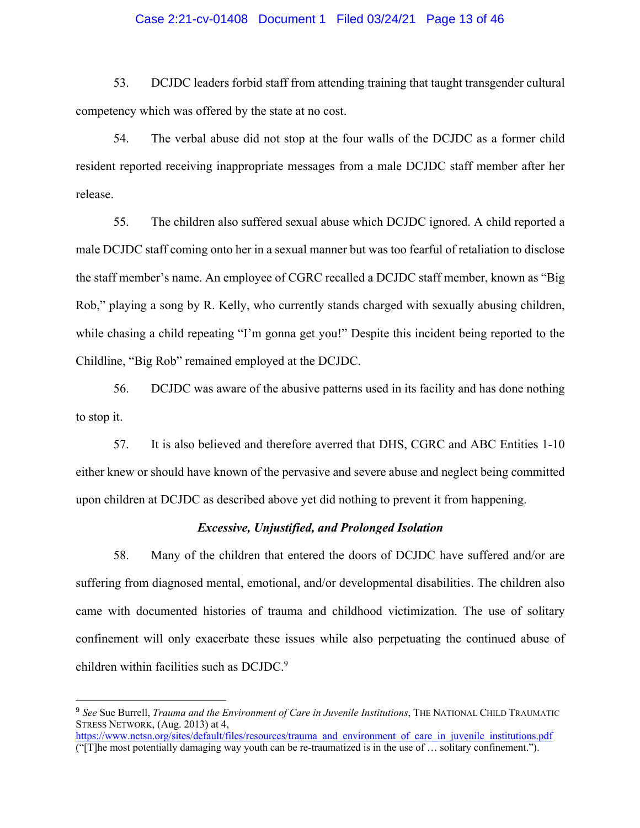#### Case 2:21-cv-01408 Document 1 Filed 03/24/21 Page 13 of 46

53. DCJDC leaders forbid staff from attending training that taught transgender cultural competency which was offered by the state at no cost.

54. The verbal abuse did not stop at the four walls of the DCJDC as a former child resident reported receiving inappropriate messages from a male DCJDC staff member after her release.

55. The children also suffered sexual abuse which DCJDC ignored. A child reported a male DCJDC staff coming onto her in a sexual manner but was too fearful of retaliation to disclose the staff member's name. An employee of CGRC recalled a DCJDC staff member, known as "Big Rob," playing a song by R. Kelly, who currently stands charged with sexually abusing children, while chasing a child repeating "I'm gonna get you!" Despite this incident being reported to the Childline, "Big Rob" remained employed at the DCJDC.

56. DCJDC was aware of the abusive patterns used in its facility and has done nothing to stop it.

57. It is also believed and therefore averred that DHS, CGRC and ABC Entities 1-10 either knew or should have known of the pervasive and severe abuse and neglect being committed upon children at DCJDC as described above yet did nothing to prevent it from happening.

## *Excessive, Unjustified, and Prolonged Isolation*

58. Many of the children that entered the doors of DCJDC have suffered and/or are suffering from diagnosed mental, emotional, and/or developmental disabilities. The children also came with documented histories of trauma and childhood victimization. The use of solitary confinement will only exacerbate these issues while also perpetuating the continued abuse of children within facilities such as DCJDC.<sup>9</sup>

<u>.</u>

<sup>9</sup> *See* Sue Burrell, *Trauma and the Environment of Care in Juvenile Institutions*, THE NATIONAL CHILD TRAUMATIC STRESS NETWORK, (Aug. 2013) at 4,

https://www.nctsn.org/sites/default/files/resources/trauma\_and\_environment\_of\_care\_in\_juvenile\_institutions.pdf ("[T]he most potentially damaging way youth can be re-traumatized is in the use of … solitary confinement.").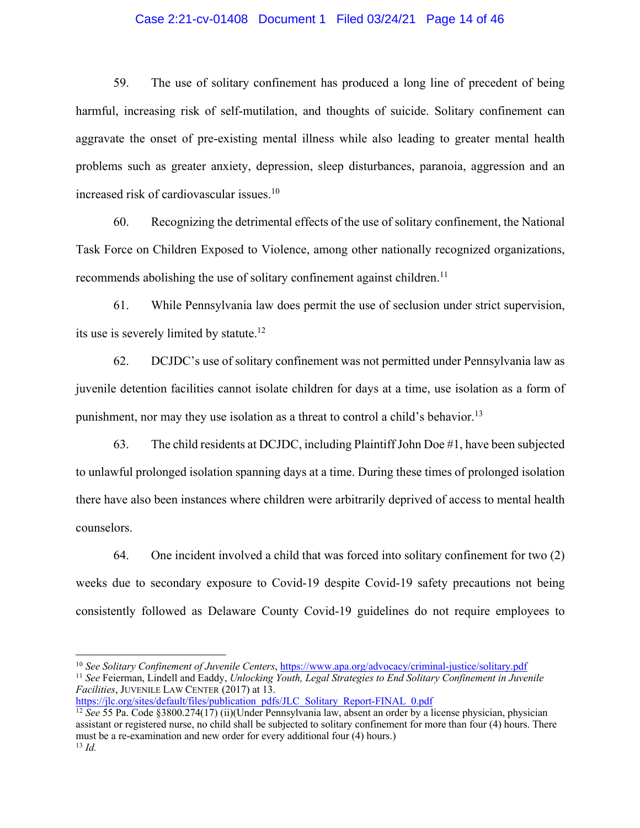### Case 2:21-cv-01408 Document 1 Filed 03/24/21 Page 14 of 46

59. The use of solitary confinement has produced a long line of precedent of being harmful, increasing risk of self-mutilation, and thoughts of suicide. Solitary confinement can aggravate the onset of pre-existing mental illness while also leading to greater mental health problems such as greater anxiety, depression, sleep disturbances, paranoia, aggression and an increased risk of cardiovascular issues.10

60. Recognizing the detrimental effects of the use of solitary confinement, the National Task Force on Children Exposed to Violence, among other nationally recognized organizations, recommends abolishing the use of solitary confinement against children.<sup>11</sup>

61. While Pennsylvania law does permit the use of seclusion under strict supervision, its use is severely limited by statute.<sup>12</sup>

62. DCJDC's use of solitary confinement was not permitted under Pennsylvania law as juvenile detention facilities cannot isolate children for days at a time, use isolation as a form of punishment, nor may they use isolation as a threat to control a child's behavior.13

63. The child residents at DCJDC, including Plaintiff John Doe #1, have been subjected to unlawful prolonged isolation spanning days at a time. During these times of prolonged isolation there have also been instances where children were arbitrarily deprived of access to mental health counselors.

64. One incident involved a child that was forced into solitary confinement for two (2) weeks due to secondary exposure to Covid-19 despite Covid-19 safety precautions not being consistently followed as Delaware County Covid-19 guidelines do not require employees to

 <sup>10</sup> *See Solitary Confinement of Juvenile Centers*, https://www.apa.org/advocacy/criminal-justice/solitary.pdf

<sup>11</sup> *See* Feierman, Lindell and Eaddy, *Unlocking Youth, Legal Strategies to End Solitary Confinement in Juvenile Facilities*, JUVENILE LAW CENTER (2017) at 13.

https://jlc.org/sites/default/files/publication\_pdfs/JLC\_Solitary\_Report-FINAL\_0.pdf

<sup>12</sup> *See* 55 Pa. Code §3800.274(17) (ii)(Under Pennsylvania law, absent an order by a license physician, physician assistant or registered nurse, no child shall be subjected to solitary confinement for more than four (4) hours. There must be a re-examination and new order for every additional four (4) hours.) <sup>13</sup> *Id.*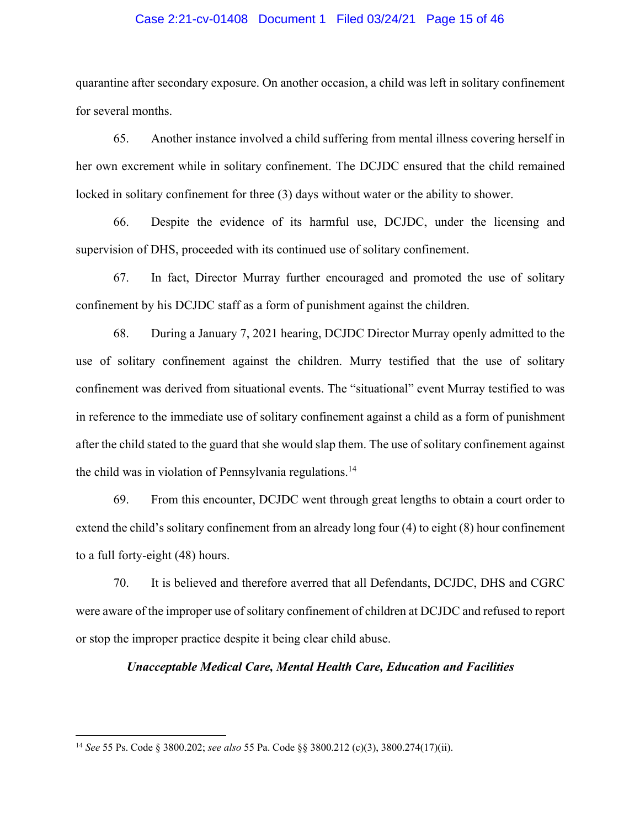#### Case 2:21-cv-01408 Document 1 Filed 03/24/21 Page 15 of 46

quarantine after secondary exposure. On another occasion, a child was left in solitary confinement for several months.

65. Another instance involved a child suffering from mental illness covering herself in her own excrement while in solitary confinement. The DCJDC ensured that the child remained locked in solitary confinement for three (3) days without water or the ability to shower.

66. Despite the evidence of its harmful use, DCJDC, under the licensing and supervision of DHS, proceeded with its continued use of solitary confinement.

67. In fact, Director Murray further encouraged and promoted the use of solitary confinement by his DCJDC staff as a form of punishment against the children.

68. During a January 7, 2021 hearing, DCJDC Director Murray openly admitted to the use of solitary confinement against the children. Murry testified that the use of solitary confinement was derived from situational events. The "situational" event Murray testified to was in reference to the immediate use of solitary confinement against a child as a form of punishment after the child stated to the guard that she would slap them. The use of solitary confinement against the child was in violation of Pennsylvania regulations.<sup>14</sup>

69. From this encounter, DCJDC went through great lengths to obtain a court order to extend the child's solitary confinement from an already long four (4) to eight (8) hour confinement to a full forty-eight (48) hours.

70. It is believed and therefore averred that all Defendants, DCJDC, DHS and CGRC were aware of the improper use of solitary confinement of children at DCJDC and refused to report or stop the improper practice despite it being clear child abuse.

## *Unacceptable Medical Care, Mental Health Care, Education and Facilities*

 <sup>14</sup> *See* 55 Ps. Code § 3800.202; *see also* 55 Pa. Code §§ 3800.212 (c)(3), 3800.274(17)(ii).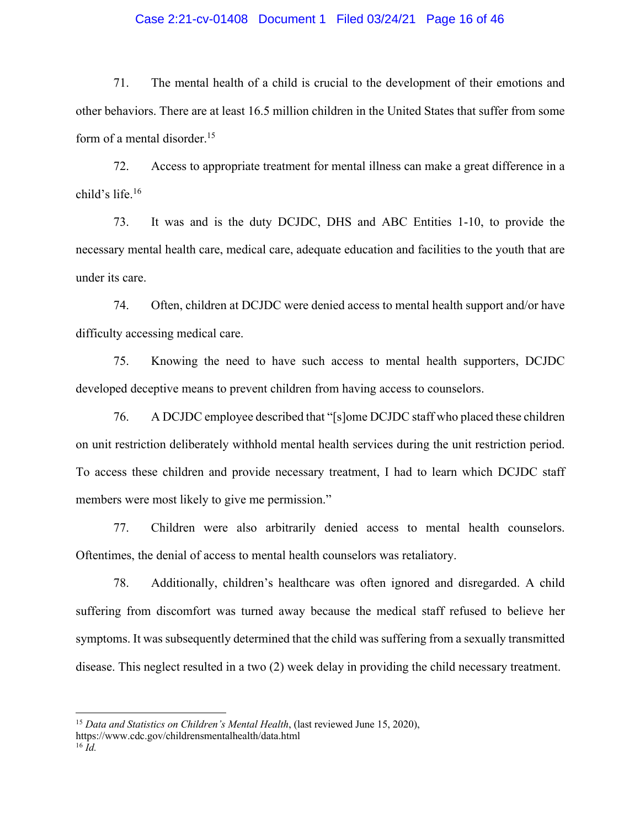#### Case 2:21-cv-01408 Document 1 Filed 03/24/21 Page 16 of 46

71. The mental health of a child is crucial to the development of their emotions and other behaviors. There are at least 16.5 million children in the United States that suffer from some form of a mental disorder.<sup>15</sup>

72. Access to appropriate treatment for mental illness can make a great difference in a child's life.16

73. It was and is the duty DCJDC, DHS and ABC Entities 1-10, to provide the necessary mental health care, medical care, adequate education and facilities to the youth that are under its care.

74. Often, children at DCJDC were denied access to mental health support and/or have difficulty accessing medical care.

75. Knowing the need to have such access to mental health supporters, DCJDC developed deceptive means to prevent children from having access to counselors.

76. A DCJDC employee described that "[s]ome DCJDC staff who placed these children on unit restriction deliberately withhold mental health services during the unit restriction period. To access these children and provide necessary treatment, I had to learn which DCJDC staff members were most likely to give me permission."

77. Children were also arbitrarily denied access to mental health counselors. Oftentimes, the denial of access to mental health counselors was retaliatory.

78. Additionally, children's healthcare was often ignored and disregarded. A child suffering from discomfort was turned away because the medical staff refused to believe her symptoms. It was subsequently determined that the child was suffering from a sexually transmitted disease. This neglect resulted in a two (2) week delay in providing the child necessary treatment.

 <sup>15</sup> *Data and Statistics on Children's Mental Health*, (last reviewed June 15, 2020), https://www.cdc.gov/childrensmentalhealth/data.html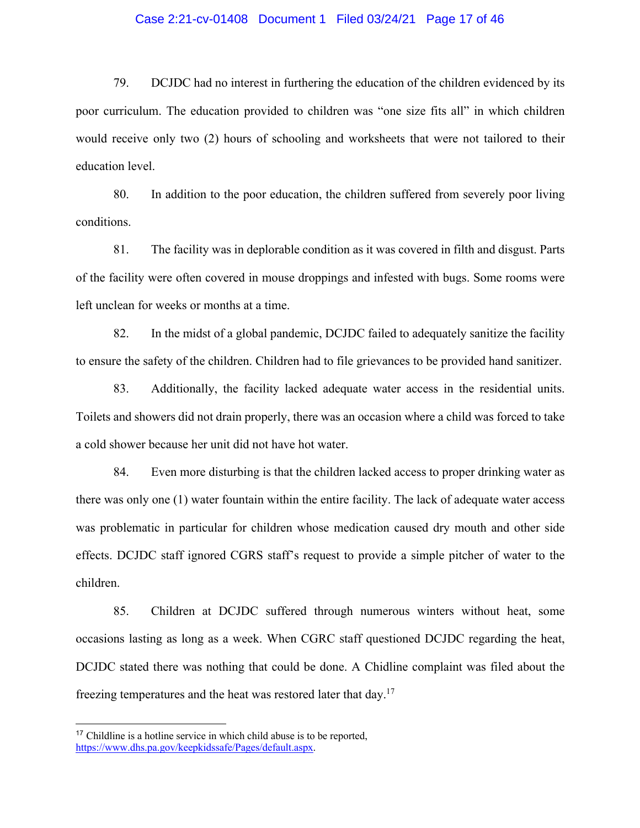#### Case 2:21-cv-01408 Document 1 Filed 03/24/21 Page 17 of 46

79. DCJDC had no interest in furthering the education of the children evidenced by its poor curriculum. The education provided to children was "one size fits all" in which children would receive only two (2) hours of schooling and worksheets that were not tailored to their education level.

80. In addition to the poor education, the children suffered from severely poor living conditions.

81. The facility was in deplorable condition as it was covered in filth and disgust. Parts of the facility were often covered in mouse droppings and infested with bugs. Some rooms were left unclean for weeks or months at a time.

82. In the midst of a global pandemic, DCJDC failed to adequately sanitize the facility to ensure the safety of the children. Children had to file grievances to be provided hand sanitizer.

83. Additionally, the facility lacked adequate water access in the residential units. Toilets and showers did not drain properly, there was an occasion where a child was forced to take a cold shower because her unit did not have hot water.

84. Even more disturbing is that the children lacked access to proper drinking water as there was only one (1) water fountain within the entire facility. The lack of adequate water access was problematic in particular for children whose medication caused dry mouth and other side effects. DCJDC staff ignored CGRS staff's request to provide a simple pitcher of water to the children.

85. Children at DCJDC suffered through numerous winters without heat, some occasions lasting as long as a week. When CGRC staff questioned DCJDC regarding the heat, DCJDC stated there was nothing that could be done. A Chidline complaint was filed about the freezing temperatures and the heat was restored later that day.17

1

<sup>&</sup>lt;sup>17</sup> Childline is a hotline service in which child abuse is to be reported, https://www.dhs.pa.gov/keepkidssafe/Pages/default.aspx.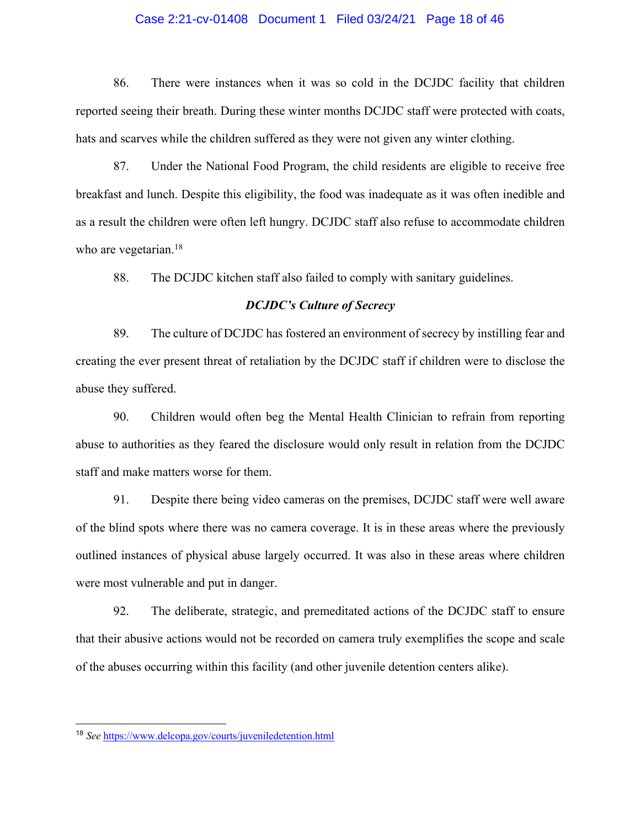#### Case 2:21-cv-01408 Document 1 Filed 03/24/21 Page 18 of 46

86. There were instances when it was so cold in the DCJDC facility that children reported seeing their breath. During these winter months DCJDC staff were protected with coats, hats and scarves while the children suffered as they were not given any winter clothing.

87. Under the National Food Program, the child residents are eligible to receive free breakfast and lunch. Despite this eligibility, the food was inadequate as it was often inedible and as a result the children were often left hungry. DCJDC staff also refuse to accommodate children who are vegetarian.<sup>18</sup>

88. The DCJDC kitchen staff also failed to comply with sanitary guidelines.

### *DCJDC's Culture of Secrecy*

89. The culture of DCJDC has fostered an environment of secrecy by instilling fear and creating the ever present threat of retaliation by the DCJDC staff if children were to disclose the abuse they suffered.

90. Children would often beg the Mental Health Clinician to refrain from reporting abuse to authorities as they feared the disclosure would only result in relation from the DCJDC staff and make matters worse for them.

91. Despite there being video cameras on the premises, DCJDC staff were well aware of the blind spots where there was no camera coverage. It is in these areas where the previously outlined instances of physical abuse largely occurred. It was also in these areas where children were most vulnerable and put in danger.

92. The deliberate, strategic, and premeditated actions of the DCJDC staff to ensure that their abusive actions would not be recorded on camera truly exemplifies the scope and scale of the abuses occurring within this facility (and other juvenile detention centers alike).

1

<sup>18</sup> *See* https://www.delcopa.gov/courts/juveniledetention.html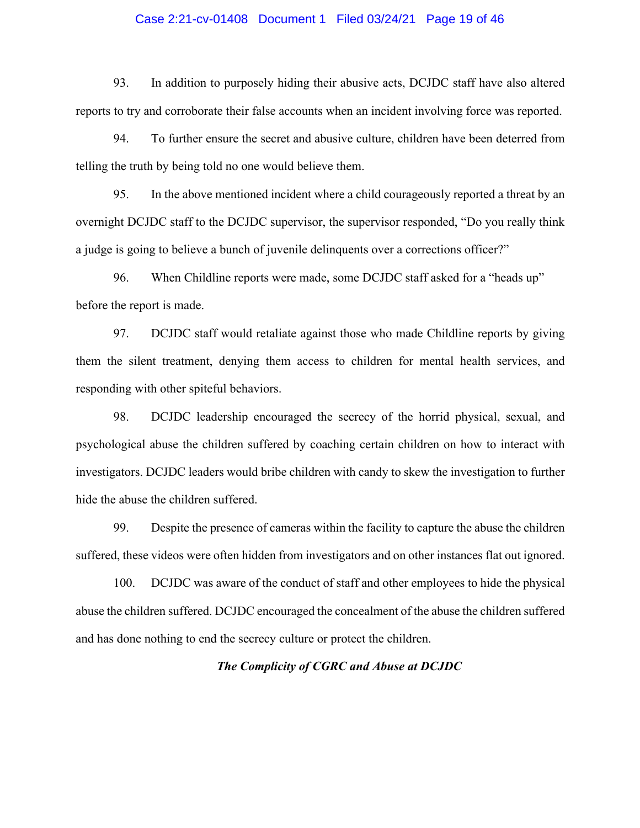#### Case 2:21-cv-01408 Document 1 Filed 03/24/21 Page 19 of 46

93. In addition to purposely hiding their abusive acts, DCJDC staff have also altered reports to try and corroborate their false accounts when an incident involving force was reported.

94. To further ensure the secret and abusive culture, children have been deterred from telling the truth by being told no one would believe them.

95. In the above mentioned incident where a child courageously reported a threat by an overnight DCJDC staff to the DCJDC supervisor, the supervisor responded, "Do you really think a judge is going to believe a bunch of juvenile delinquents over a corrections officer?"

96. When Childline reports were made, some DCJDC staff asked for a "heads up" before the report is made.

97. DCJDC staff would retaliate against those who made Childline reports by giving them the silent treatment, denying them access to children for mental health services, and responding with other spiteful behaviors.

98. DCJDC leadership encouraged the secrecy of the horrid physical, sexual, and psychological abuse the children suffered by coaching certain children on how to interact with investigators. DCJDC leaders would bribe children with candy to skew the investigation to further hide the abuse the children suffered.

99. Despite the presence of cameras within the facility to capture the abuse the children suffered, these videos were often hidden from investigators and on other instances flat out ignored.

100. DCJDC was aware of the conduct of staff and other employees to hide the physical abuse the children suffered. DCJDC encouraged the concealment of the abuse the children suffered and has done nothing to end the secrecy culture or protect the children.

### *The Complicity of CGRC and Abuse at DCJDC*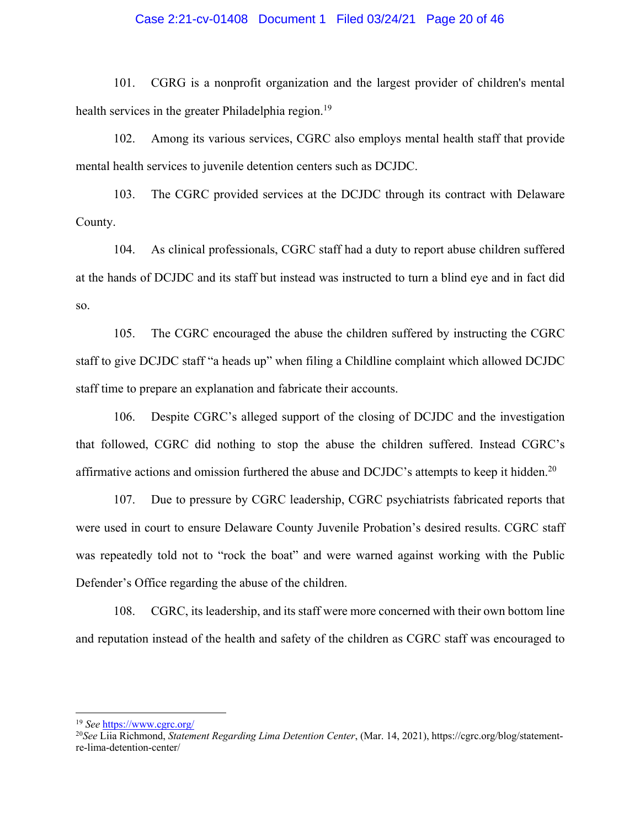#### Case 2:21-cv-01408 Document 1 Filed 03/24/21 Page 20 of 46

101. CGRG is a nonprofit organization and the largest provider of children's mental health services in the greater Philadelphia region.<sup>19</sup>

102. Among its various services, CGRC also employs mental health staff that provide mental health services to juvenile detention centers such as DCJDC.

103. The CGRC provided services at the DCJDC through its contract with Delaware County.

104. As clinical professionals, CGRC staff had a duty to report abuse children suffered at the hands of DCJDC and its staff but instead was instructed to turn a blind eye and in fact did so.

105. The CGRC encouraged the abuse the children suffered by instructing the CGRC staff to give DCJDC staff "a heads up" when filing a Childline complaint which allowed DCJDC staff time to prepare an explanation and fabricate their accounts.

106. Despite CGRC's alleged support of the closing of DCJDC and the investigation that followed, CGRC did nothing to stop the abuse the children suffered. Instead CGRC's affirmative actions and omission furthered the abuse and DCJDC's attempts to keep it hidden.<sup>20</sup>

107. Due to pressure by CGRC leadership, CGRC psychiatrists fabricated reports that were used in court to ensure Delaware County Juvenile Probation's desired results. CGRC staff was repeatedly told not to "rock the boat" and were warned against working with the Public Defender's Office regarding the abuse of the children.

108. CGRC, its leadership, and its staff were more concerned with their own bottom line and reputation instead of the health and safety of the children as CGRC staff was encouraged to

 <sup>19</sup> *See* https://www.cgrc.org/

<sup>20</sup>*See* Liia Richmond, *Statement Regarding Lima Detention Center*, (Mar. 14, 2021), https://cgrc.org/blog/statementre-lima-detention-center/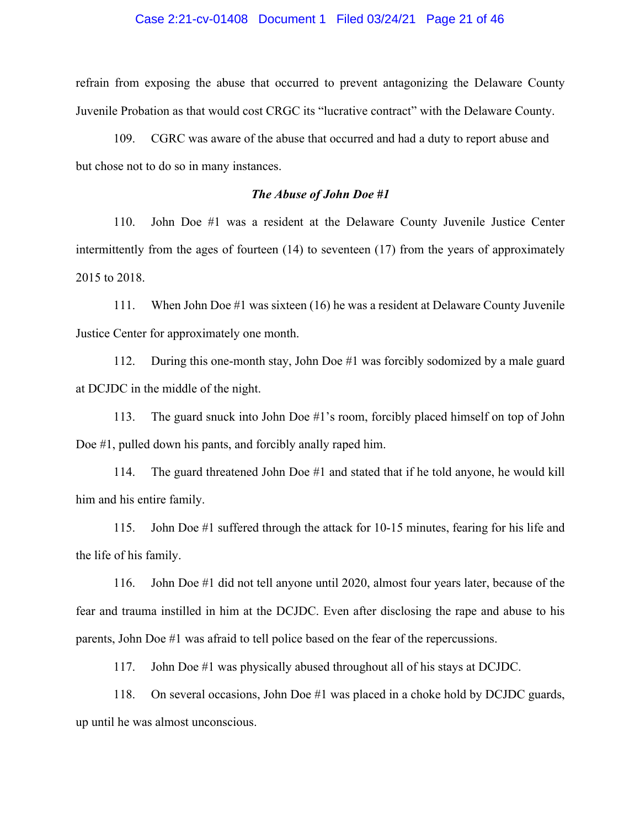#### Case 2:21-cv-01408 Document 1 Filed 03/24/21 Page 21 of 46

refrain from exposing the abuse that occurred to prevent antagonizing the Delaware County Juvenile Probation as that would cost CRGC its "lucrative contract" with the Delaware County.

109. CGRC was aware of the abuse that occurred and had a duty to report abuse and but chose not to do so in many instances.

#### *The Abuse of John Doe #1*

110. John Doe #1 was a resident at the Delaware County Juvenile Justice Center intermittently from the ages of fourteen (14) to seventeen (17) from the years of approximately 2015 to 2018.

111. When John Doe #1 was sixteen (16) he was a resident at Delaware County Juvenile Justice Center for approximately one month.

112. During this one-month stay, John Doe #1 was forcibly sodomized by a male guard at DCJDC in the middle of the night.

113. The guard snuck into John Doe #1's room, forcibly placed himself on top of John Doe #1, pulled down his pants, and forcibly anally raped him.

114. The guard threatened John Doe #1 and stated that if he told anyone, he would kill him and his entire family.

115. John Doe #1 suffered through the attack for 10-15 minutes, fearing for his life and the life of his family.

116. John Doe #1 did not tell anyone until 2020, almost four years later, because of the fear and trauma instilled in him at the DCJDC. Even after disclosing the rape and abuse to his parents, John Doe #1 was afraid to tell police based on the fear of the repercussions.

117. John Doe #1 was physically abused throughout all of his stays at DCJDC.

118. On several occasions, John Doe #1 was placed in a choke hold by DCJDC guards, up until he was almost unconscious.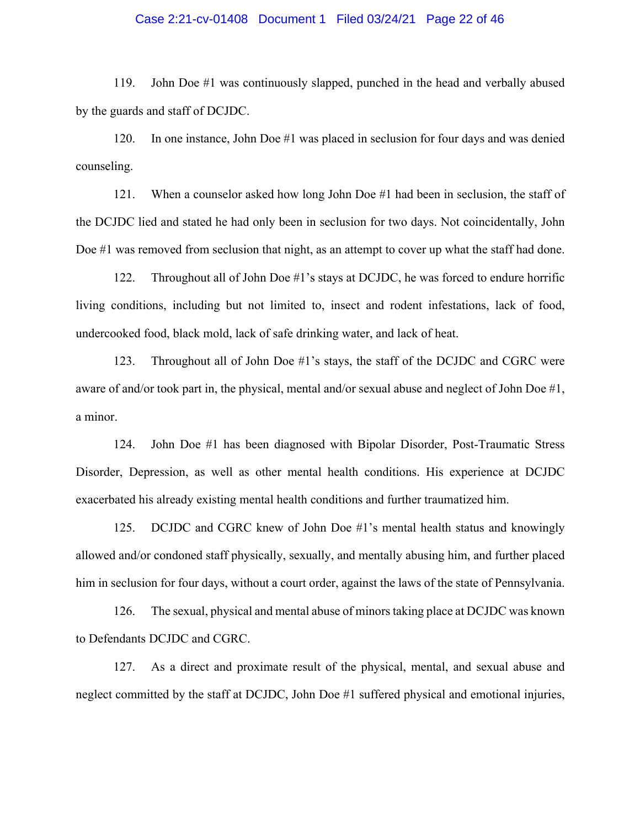#### Case 2:21-cv-01408 Document 1 Filed 03/24/21 Page 22 of 46

119. John Doe #1 was continuously slapped, punched in the head and verbally abused by the guards and staff of DCJDC.

120. In one instance, John Doe #1 was placed in seclusion for four days and was denied counseling.

121. When a counselor asked how long John Doe #1 had been in seclusion, the staff of the DCJDC lied and stated he had only been in seclusion for two days. Not coincidentally, John Doe #1 was removed from seclusion that night, as an attempt to cover up what the staff had done.

122. Throughout all of John Doe #1's stays at DCJDC, he was forced to endure horrific living conditions, including but not limited to, insect and rodent infestations, lack of food, undercooked food, black mold, lack of safe drinking water, and lack of heat.

123. Throughout all of John Doe #1's stays, the staff of the DCJDC and CGRC were aware of and/or took part in, the physical, mental and/or sexual abuse and neglect of John Doe #1, a minor.

124. John Doe #1 has been diagnosed with Bipolar Disorder, Post-Traumatic Stress Disorder, Depression, as well as other mental health conditions. His experience at DCJDC exacerbated his already existing mental health conditions and further traumatized him.

125. DCJDC and CGRC knew of John Doe #1's mental health status and knowingly allowed and/or condoned staff physically, sexually, and mentally abusing him, and further placed him in seclusion for four days, without a court order, against the laws of the state of Pennsylvania.

126. The sexual, physical and mental abuse of minors taking place at DCJDC was known to Defendants DCJDC and CGRC.

127. As a direct and proximate result of the physical, mental, and sexual abuse and neglect committed by the staff at DCJDC, John Doe #1 suffered physical and emotional injuries,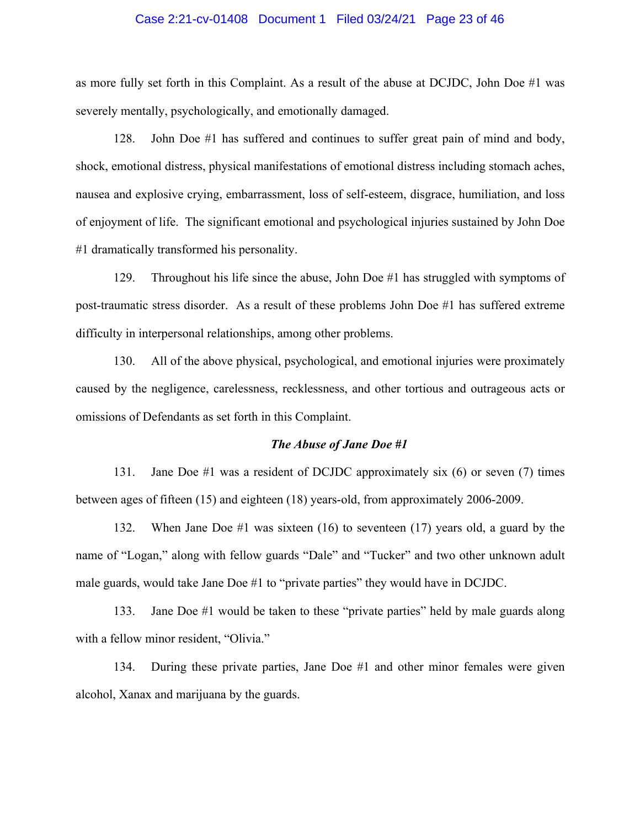#### Case 2:21-cv-01408 Document 1 Filed 03/24/21 Page 23 of 46

as more fully set forth in this Complaint. As a result of the abuse at DCJDC, John Doe #1 was severely mentally, psychologically, and emotionally damaged.

128. John Doe #1 has suffered and continues to suffer great pain of mind and body, shock, emotional distress, physical manifestations of emotional distress including stomach aches, nausea and explosive crying, embarrassment, loss of self-esteem, disgrace, humiliation, and loss of enjoyment of life. The significant emotional and psychological injuries sustained by John Doe #1 dramatically transformed his personality.

129. Throughout his life since the abuse, John Doe #1 has struggled with symptoms of post-traumatic stress disorder. As a result of these problems John Doe #1 has suffered extreme difficulty in interpersonal relationships, among other problems.

130. All of the above physical, psychological, and emotional injuries were proximately caused by the negligence, carelessness, recklessness, and other tortious and outrageous acts or omissions of Defendants as set forth in this Complaint.

#### *The Abuse of Jane Doe #1*

131. Jane Doe #1 was a resident of DCJDC approximately six (6) or seven (7) times between ages of fifteen (15) and eighteen (18) years-old, from approximately 2006-2009.

132. When Jane Doe #1 was sixteen (16) to seventeen (17) years old, a guard by the name of "Logan," along with fellow guards "Dale" and "Tucker" and two other unknown adult male guards, would take Jane Doe #1 to "private parties" they would have in DCJDC.

133. Jane Doe #1 would be taken to these "private parties" held by male guards along with a fellow minor resident, "Olivia."

134. During these private parties, Jane Doe #1 and other minor females were given alcohol, Xanax and marijuana by the guards.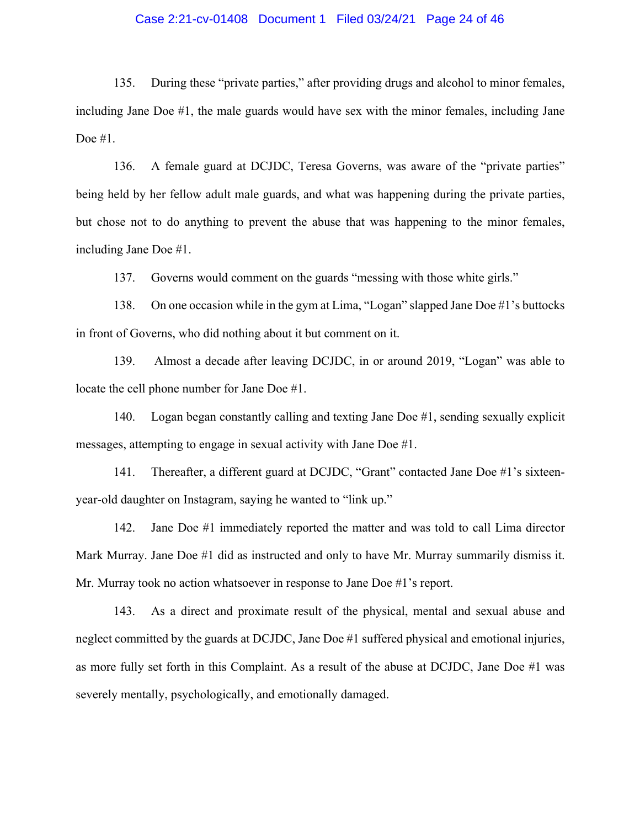#### Case 2:21-cv-01408 Document 1 Filed 03/24/21 Page 24 of 46

135. During these "private parties," after providing drugs and alcohol to minor females, including Jane Doe #1, the male guards would have sex with the minor females, including Jane Doe #1.

136. A female guard at DCJDC, Teresa Governs, was aware of the "private parties" being held by her fellow adult male guards, and what was happening during the private parties, but chose not to do anything to prevent the abuse that was happening to the minor females, including Jane Doe #1.

137. Governs would comment on the guards "messing with those white girls."

138. On one occasion while in the gym at Lima, "Logan" slapped Jane Doe #1's buttocks in front of Governs, who did nothing about it but comment on it.

139. Almost a decade after leaving DCJDC, in or around 2019, "Logan" was able to locate the cell phone number for Jane Doe #1.

140. Logan began constantly calling and texting Jane Doe #1, sending sexually explicit messages, attempting to engage in sexual activity with Jane Doe #1.

141. Thereafter, a different guard at DCJDC, "Grant" contacted Jane Doe #1's sixteenyear-old daughter on Instagram, saying he wanted to "link up."

142. Jane Doe #1 immediately reported the matter and was told to call Lima director Mark Murray. Jane Doe #1 did as instructed and only to have Mr. Murray summarily dismiss it. Mr. Murray took no action whatsoever in response to Jane Doe #1's report.

143. As a direct and proximate result of the physical, mental and sexual abuse and neglect committed by the guards at DCJDC, Jane Doe #1 suffered physical and emotional injuries, as more fully set forth in this Complaint. As a result of the abuse at DCJDC, Jane Doe #1 was severely mentally, psychologically, and emotionally damaged.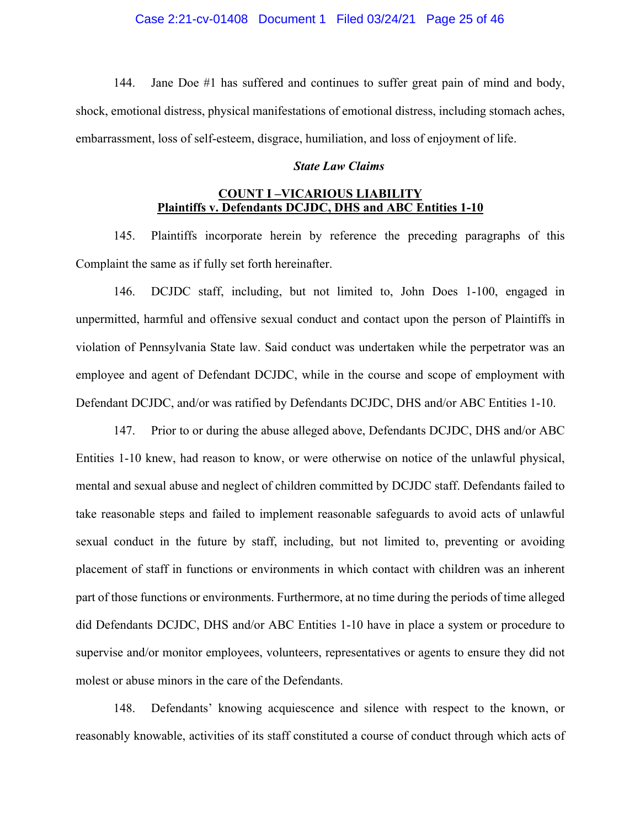144. Jane Doe #1 has suffered and continues to suffer great pain of mind and body, shock, emotional distress, physical manifestations of emotional distress, including stomach aches, embarrassment, loss of self-esteem, disgrace, humiliation, and loss of enjoyment of life.

#### *State Law Claims*

## **COUNT I –VICARIOUS LIABILITY Plaintiffs v. Defendants DCJDC, DHS and ABC Entities 1-10**

145. Plaintiffs incorporate herein by reference the preceding paragraphs of this Complaint the same as if fully set forth hereinafter.

146. DCJDC staff, including, but not limited to, John Does 1-100, engaged in unpermitted, harmful and offensive sexual conduct and contact upon the person of Plaintiffs in violation of Pennsylvania State law. Said conduct was undertaken while the perpetrator was an employee and agent of Defendant DCJDC, while in the course and scope of employment with Defendant DCJDC, and/or was ratified by Defendants DCJDC, DHS and/or ABC Entities 1-10.

147. Prior to or during the abuse alleged above, Defendants DCJDC, DHS and/or ABC Entities 1-10 knew, had reason to know, or were otherwise on notice of the unlawful physical, mental and sexual abuse and neglect of children committed by DCJDC staff. Defendants failed to take reasonable steps and failed to implement reasonable safeguards to avoid acts of unlawful sexual conduct in the future by staff, including, but not limited to, preventing or avoiding placement of staff in functions or environments in which contact with children was an inherent part of those functions or environments. Furthermore, at no time during the periods of time alleged did Defendants DCJDC, DHS and/or ABC Entities 1-10 have in place a system or procedure to supervise and/or monitor employees, volunteers, representatives or agents to ensure they did not molest or abuse minors in the care of the Defendants.

148. Defendants' knowing acquiescence and silence with respect to the known, or reasonably knowable, activities of its staff constituted a course of conduct through which acts of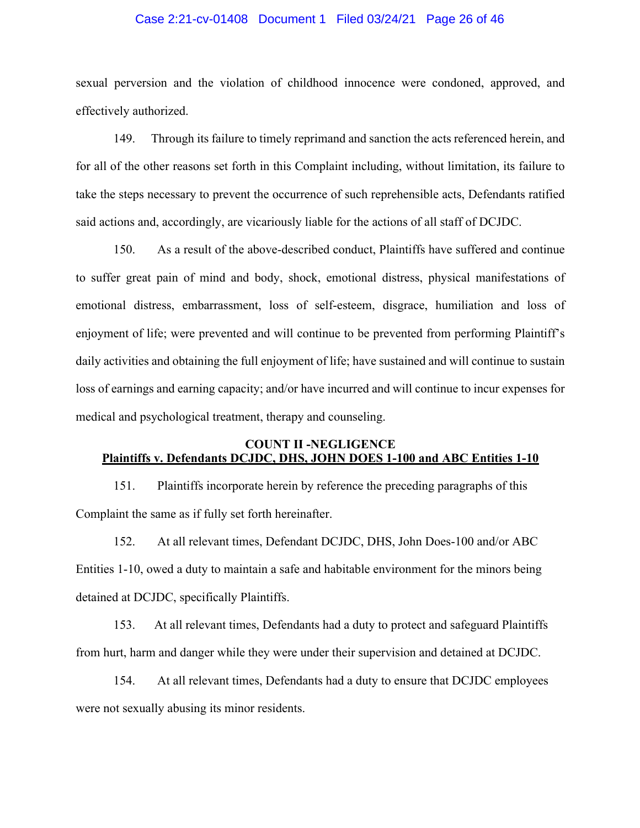#### Case 2:21-cv-01408 Document 1 Filed 03/24/21 Page 26 of 46

sexual perversion and the violation of childhood innocence were condoned, approved, and effectively authorized.

149. Through its failure to timely reprimand and sanction the acts referenced herein, and for all of the other reasons set forth in this Complaint including, without limitation, its failure to take the steps necessary to prevent the occurrence of such reprehensible acts, Defendants ratified said actions and, accordingly, are vicariously liable for the actions of all staff of DCJDC.

150. As a result of the above-described conduct, Plaintiffs have suffered and continue to suffer great pain of mind and body, shock, emotional distress, physical manifestations of emotional distress, embarrassment, loss of self-esteem, disgrace, humiliation and loss of enjoyment of life; were prevented and will continue to be prevented from performing Plaintiff's daily activities and obtaining the full enjoyment of life; have sustained and will continue to sustain loss of earnings and earning capacity; and/or have incurred and will continue to incur expenses for medical and psychological treatment, therapy and counseling.

## **COUNT II -NEGLIGENCE Plaintiffs v. Defendants DCJDC, DHS, JOHN DOES 1-100 and ABC Entities 1-10**

151. Plaintiffs incorporate herein by reference the preceding paragraphs of this Complaint the same as if fully set forth hereinafter.

152. At all relevant times, Defendant DCJDC, DHS, John Does-100 and/or ABC Entities 1-10, owed a duty to maintain a safe and habitable environment for the minors being detained at DCJDC, specifically Plaintiffs.

153. At all relevant times, Defendants had a duty to protect and safeguard Plaintiffs from hurt, harm and danger while they were under their supervision and detained at DCJDC.

154. At all relevant times, Defendants had a duty to ensure that DCJDC employees were not sexually abusing its minor residents.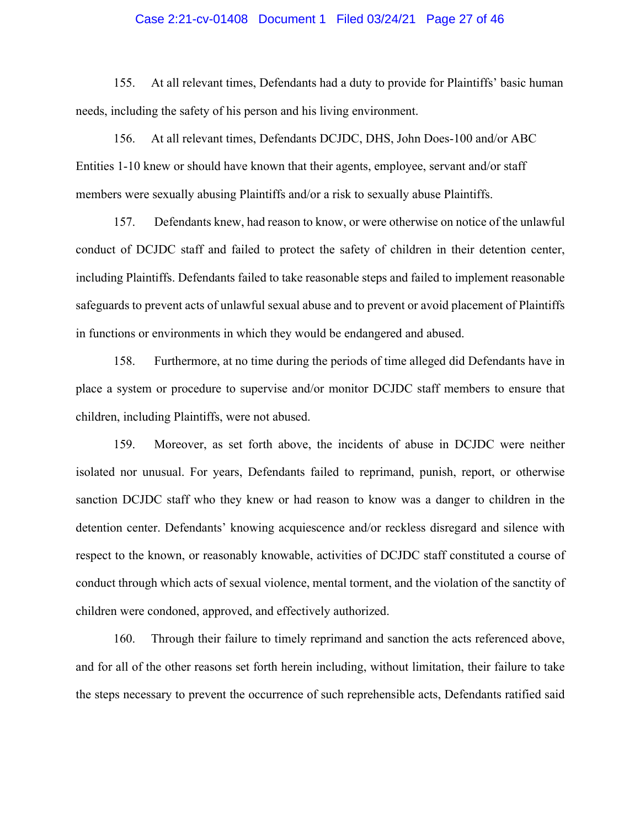#### Case 2:21-cv-01408 Document 1 Filed 03/24/21 Page 27 of 46

155. At all relevant times, Defendants had a duty to provide for Plaintiffs' basic human needs, including the safety of his person and his living environment.

156. At all relevant times, Defendants DCJDC, DHS, John Does-100 and/or ABC Entities 1-10 knew or should have known that their agents, employee, servant and/or staff members were sexually abusing Plaintiffs and/or a risk to sexually abuse Plaintiffs.

157. Defendants knew, had reason to know, or were otherwise on notice of the unlawful conduct of DCJDC staff and failed to protect the safety of children in their detention center, including Plaintiffs. Defendants failed to take reasonable steps and failed to implement reasonable safeguards to prevent acts of unlawful sexual abuse and to prevent or avoid placement of Plaintiffs in functions or environments in which they would be endangered and abused.

158. Furthermore, at no time during the periods of time alleged did Defendants have in place a system or procedure to supervise and/or monitor DCJDC staff members to ensure that children, including Plaintiffs, were not abused.

159. Moreover, as set forth above, the incidents of abuse in DCJDC were neither isolated nor unusual. For years, Defendants failed to reprimand, punish, report, or otherwise sanction DCJDC staff who they knew or had reason to know was a danger to children in the detention center. Defendants' knowing acquiescence and/or reckless disregard and silence with respect to the known, or reasonably knowable, activities of DCJDC staff constituted a course of conduct through which acts of sexual violence, mental torment, and the violation of the sanctity of children were condoned, approved, and effectively authorized.

160. Through their failure to timely reprimand and sanction the acts referenced above, and for all of the other reasons set forth herein including, without limitation, their failure to take the steps necessary to prevent the occurrence of such reprehensible acts, Defendants ratified said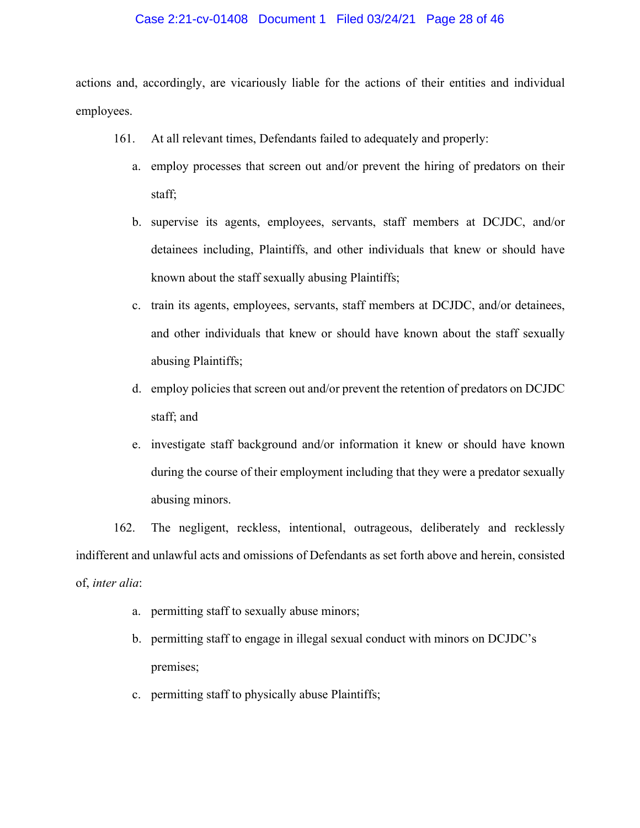#### Case 2:21-cv-01408 Document 1 Filed 03/24/21 Page 28 of 46

actions and, accordingly, are vicariously liable for the actions of their entities and individual employees.

- 161. At all relevant times, Defendants failed to adequately and properly:
	- a. employ processes that screen out and/or prevent the hiring of predators on their staff;
	- b. supervise its agents, employees, servants, staff members at DCJDC, and/or detainees including, Plaintiffs, and other individuals that knew or should have known about the staff sexually abusing Plaintiffs;
	- c. train its agents, employees, servants, staff members at DCJDC, and/or detainees, and other individuals that knew or should have known about the staff sexually abusing Plaintiffs;
	- d. employ policies that screen out and/or prevent the retention of predators on DCJDC staff; and
	- e. investigate staff background and/or information it knew or should have known during the course of their employment including that they were a predator sexually abusing minors.

162. The negligent, reckless, intentional, outrageous, deliberately and recklessly indifferent and unlawful acts and omissions of Defendants as set forth above and herein, consisted of, *inter alia*:

- a. permitting staff to sexually abuse minors;
- b. permitting staff to engage in illegal sexual conduct with minors on DCJDC's premises;
- c. permitting staff to physically abuse Plaintiffs;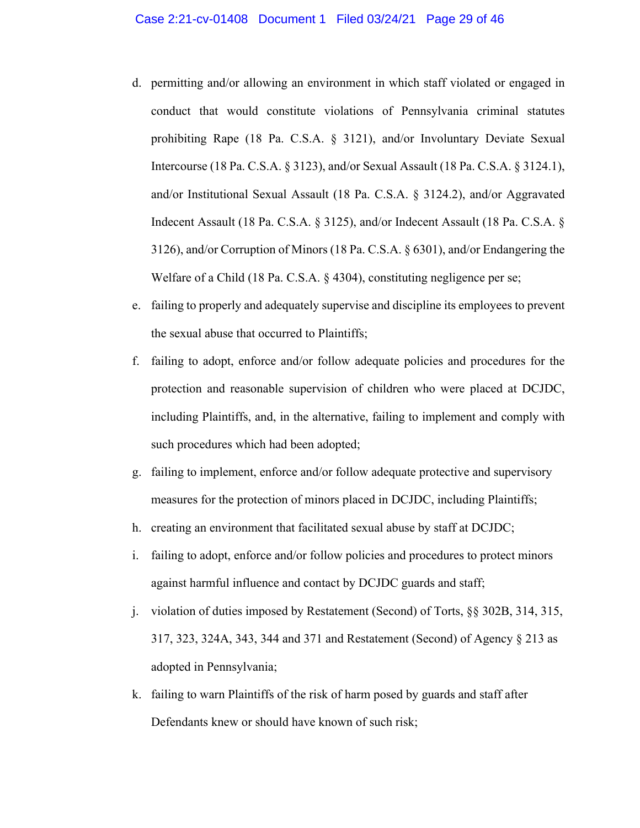- d. permitting and/or allowing an environment in which staff violated or engaged in conduct that would constitute violations of Pennsylvania criminal statutes prohibiting Rape (18 Pa. C.S.A. § 3121), and/or Involuntary Deviate Sexual Intercourse (18 Pa. C.S.A. § 3123), and/or Sexual Assault (18 Pa. C.S.A. § 3124.1), and/or Institutional Sexual Assault (18 Pa. C.S.A. § 3124.2), and/or Aggravated Indecent Assault (18 Pa. C.S.A. § 3125), and/or Indecent Assault (18 Pa. C.S.A. § 3126), and/or Corruption of Minors (18 Pa. C.S.A. § 6301), and/or Endangering the Welfare of a Child (18 Pa. C.S.A. § 4304), constituting negligence per se;
- e. failing to properly and adequately supervise and discipline its employees to prevent the sexual abuse that occurred to Plaintiffs;
- f. failing to adopt, enforce and/or follow adequate policies and procedures for the protection and reasonable supervision of children who were placed at DCJDC, including Plaintiffs, and, in the alternative, failing to implement and comply with such procedures which had been adopted;
- g. failing to implement, enforce and/or follow adequate protective and supervisory measures for the protection of minors placed in DCJDC, including Plaintiffs;
- h. creating an environment that facilitated sexual abuse by staff at DCJDC;
- i. failing to adopt, enforce and/or follow policies and procedures to protect minors against harmful influence and contact by DCJDC guards and staff;
- j. violation of duties imposed by Restatement (Second) of Torts, §§ 302B, 314, 315, 317, 323, 324A, 343, 344 and 371 and Restatement (Second) of Agency § 213 as adopted in Pennsylvania;
- k. failing to warn Plaintiffs of the risk of harm posed by guards and staff after Defendants knew or should have known of such risk;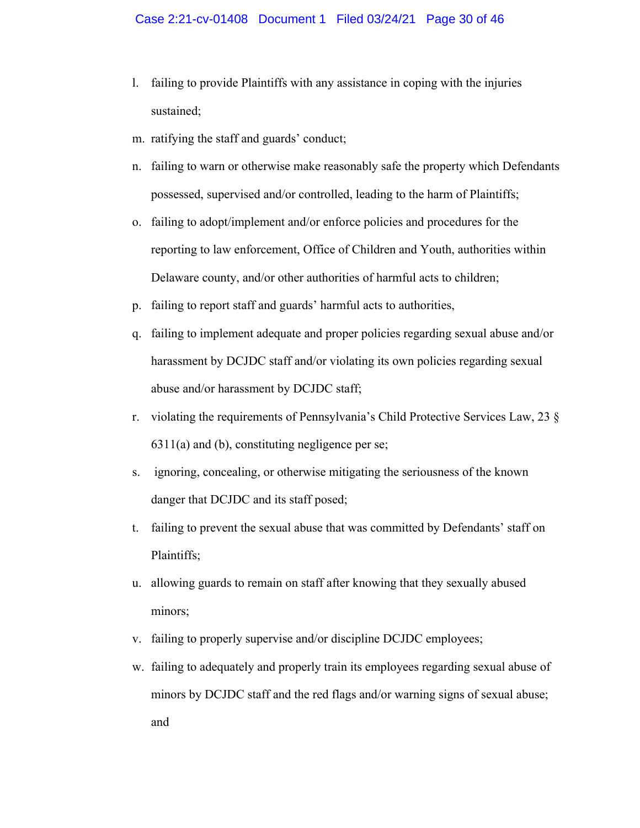- l. failing to provide Plaintiffs with any assistance in coping with the injuries sustained;
- m. ratifying the staff and guards' conduct;
- n. failing to warn or otherwise make reasonably safe the property which Defendants possessed, supervised and/or controlled, leading to the harm of Plaintiffs;
- o. failing to adopt/implement and/or enforce policies and procedures for the reporting to law enforcement, Office of Children and Youth, authorities within Delaware county, and/or other authorities of harmful acts to children;
- p. failing to report staff and guards' harmful acts to authorities,
- q. failing to implement adequate and proper policies regarding sexual abuse and/or harassment by DCJDC staff and/or violating its own policies regarding sexual abuse and/or harassment by DCJDC staff;
- r. violating the requirements of Pennsylvania's Child Protective Services Law, 23 §  $6311(a)$  and (b), constituting negligence per se;
- s. ignoring, concealing, or otherwise mitigating the seriousness of the known danger that DCJDC and its staff posed;
- t. failing to prevent the sexual abuse that was committed by Defendants' staff on Plaintiffs;
- u. allowing guards to remain on staff after knowing that they sexually abused minors;
- v. failing to properly supervise and/or discipline DCJDC employees;
- w. failing to adequately and properly train its employees regarding sexual abuse of minors by DCJDC staff and the red flags and/or warning signs of sexual abuse; and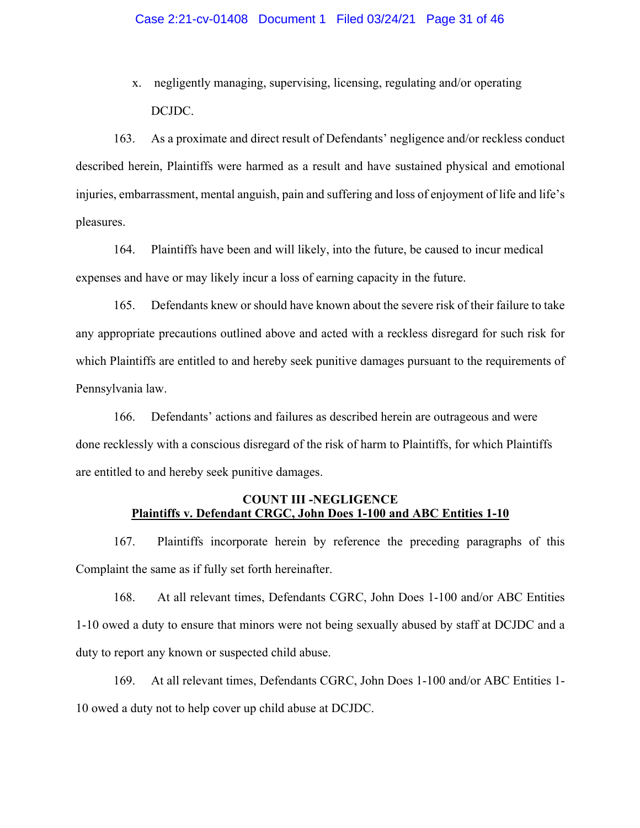x. negligently managing, supervising, licensing, regulating and/or operating DCJDC.

163. As a proximate and direct result of Defendants' negligence and/or reckless conduct described herein, Plaintiffs were harmed as a result and have sustained physical and emotional injuries, embarrassment, mental anguish, pain and suffering and loss of enjoyment of life and life's pleasures.

164. Plaintiffs have been and will likely, into the future, be caused to incur medical expenses and have or may likely incur a loss of earning capacity in the future.

165. Defendants knew or should have known about the severe risk of their failure to take any appropriate precautions outlined above and acted with a reckless disregard for such risk for which Plaintiffs are entitled to and hereby seek punitive damages pursuant to the requirements of Pennsylvania law.

166. Defendants' actions and failures as described herein are outrageous and were done recklessly with a conscious disregard of the risk of harm to Plaintiffs, for which Plaintiffs are entitled to and hereby seek punitive damages.

## **COUNT III -NEGLIGENCE Plaintiffs v. Defendant CRGC, John Does 1-100 and ABC Entities 1-10**

167. Plaintiffs incorporate herein by reference the preceding paragraphs of this Complaint the same as if fully set forth hereinafter.

168. At all relevant times, Defendants CGRC, John Does 1-100 and/or ABC Entities 1-10 owed a duty to ensure that minors were not being sexually abused by staff at DCJDC and a duty to report any known or suspected child abuse.

169. At all relevant times, Defendants CGRC, John Does 1-100 and/or ABC Entities 1- 10 owed a duty not to help cover up child abuse at DCJDC.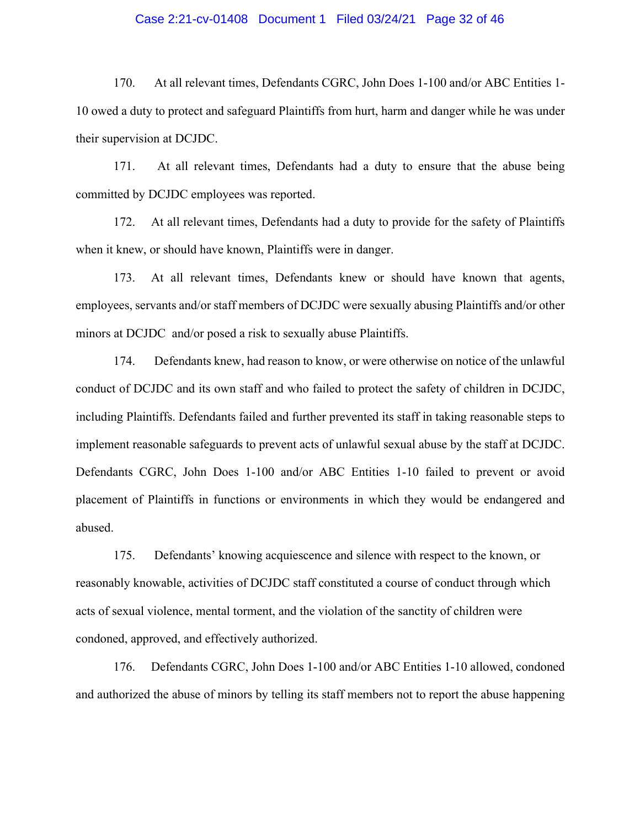#### Case 2:21-cv-01408 Document 1 Filed 03/24/21 Page 32 of 46

170. At all relevant times, Defendants CGRC, John Does 1-100 and/or ABC Entities 1- 10 owed a duty to protect and safeguard Plaintiffs from hurt, harm and danger while he was under their supervision at DCJDC.

171. At all relevant times, Defendants had a duty to ensure that the abuse being committed by DCJDC employees was reported.

172. At all relevant times, Defendants had a duty to provide for the safety of Plaintiffs when it knew, or should have known, Plaintiffs were in danger.

173. At all relevant times, Defendants knew or should have known that agents, employees, servants and/or staff members of DCJDC were sexually abusing Plaintiffs and/or other minors at DCJDC and/or posed a risk to sexually abuse Plaintiffs.

174. Defendants knew, had reason to know, or were otherwise on notice of the unlawful conduct of DCJDC and its own staff and who failed to protect the safety of children in DCJDC, including Plaintiffs. Defendants failed and further prevented its staff in taking reasonable steps to implement reasonable safeguards to prevent acts of unlawful sexual abuse by the staff at DCJDC. Defendants CGRC, John Does 1-100 and/or ABC Entities 1-10 failed to prevent or avoid placement of Plaintiffs in functions or environments in which they would be endangered and abused.

175. Defendants' knowing acquiescence and silence with respect to the known, or reasonably knowable, activities of DCJDC staff constituted a course of conduct through which acts of sexual violence, mental torment, and the violation of the sanctity of children were condoned, approved, and effectively authorized.

176. Defendants CGRC, John Does 1-100 and/or ABC Entities 1-10 allowed, condoned and authorized the abuse of minors by telling its staff members not to report the abuse happening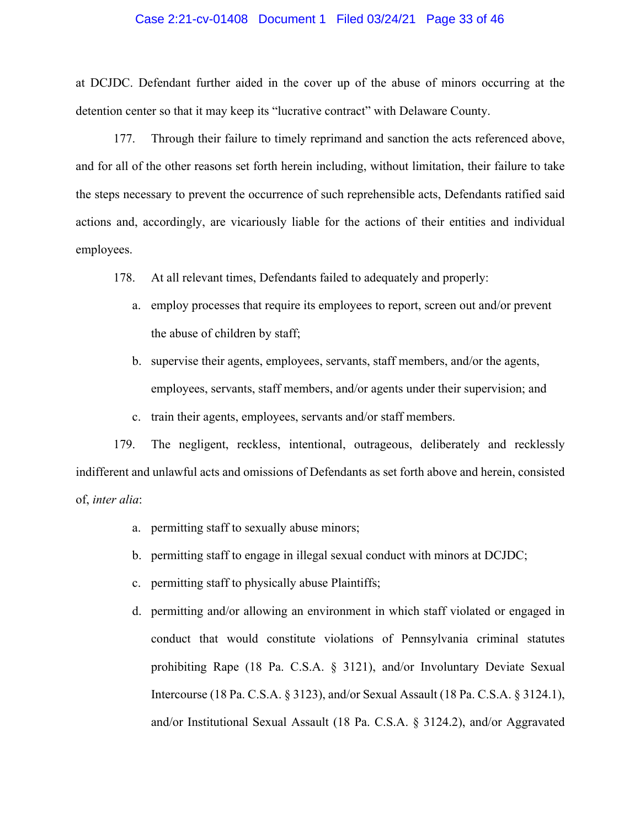#### Case 2:21-cv-01408 Document 1 Filed 03/24/21 Page 33 of 46

at DCJDC. Defendant further aided in the cover up of the abuse of minors occurring at the detention center so that it may keep its "lucrative contract" with Delaware County.

177. Through their failure to timely reprimand and sanction the acts referenced above, and for all of the other reasons set forth herein including, without limitation, their failure to take the steps necessary to prevent the occurrence of such reprehensible acts, Defendants ratified said actions and, accordingly, are vicariously liable for the actions of their entities and individual employees.

- 178. At all relevant times, Defendants failed to adequately and properly:
	- a. employ processes that require its employees to report, screen out and/or prevent the abuse of children by staff;
	- b. supervise their agents, employees, servants, staff members, and/or the agents, employees, servants, staff members, and/or agents under their supervision; and
	- c. train their agents, employees, servants and/or staff members.

179. The negligent, reckless, intentional, outrageous, deliberately and recklessly indifferent and unlawful acts and omissions of Defendants as set forth above and herein, consisted of, *inter alia*:

- a. permitting staff to sexually abuse minors;
- b. permitting staff to engage in illegal sexual conduct with minors at DCJDC;
- c. permitting staff to physically abuse Plaintiffs;
- d. permitting and/or allowing an environment in which staff violated or engaged in conduct that would constitute violations of Pennsylvania criminal statutes prohibiting Rape (18 Pa. C.S.A. § 3121), and/or Involuntary Deviate Sexual Intercourse (18 Pa. C.S.A. § 3123), and/or Sexual Assault (18 Pa. C.S.A. § 3124.1), and/or Institutional Sexual Assault (18 Pa. C.S.A. § 3124.2), and/or Aggravated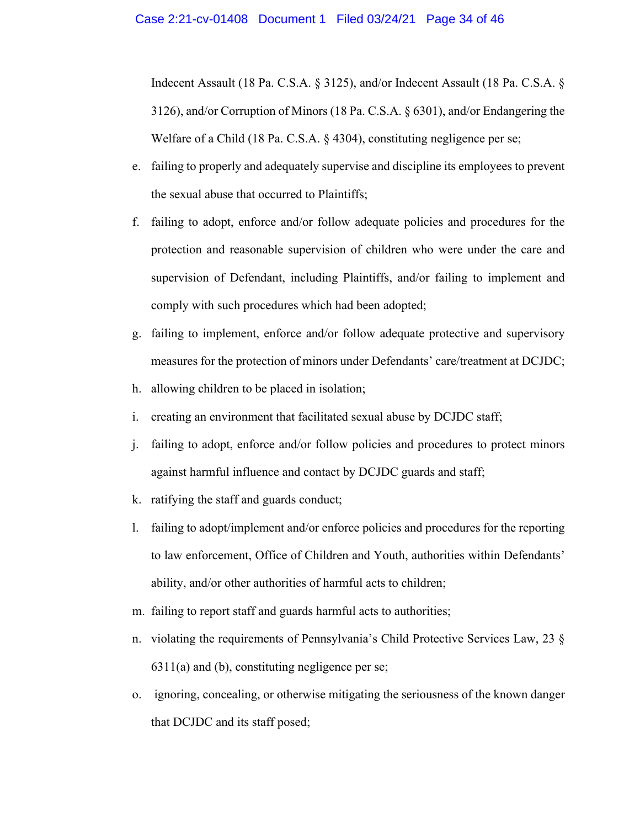Indecent Assault (18 Pa. C.S.A. § 3125), and/or Indecent Assault (18 Pa. C.S.A. § 3126), and/or Corruption of Minors (18 Pa. C.S.A. § 6301), and/or Endangering the Welfare of a Child (18 Pa. C.S.A. § 4304), constituting negligence per se;

- e. failing to properly and adequately supervise and discipline its employees to prevent the sexual abuse that occurred to Plaintiffs;
- f. failing to adopt, enforce and/or follow adequate policies and procedures for the protection and reasonable supervision of children who were under the care and supervision of Defendant, including Plaintiffs, and/or failing to implement and comply with such procedures which had been adopted;
- g. failing to implement, enforce and/or follow adequate protective and supervisory measures for the protection of minors under Defendants' care/treatment at DCJDC;
- h. allowing children to be placed in isolation;
- i. creating an environment that facilitated sexual abuse by DCJDC staff;
- j. failing to adopt, enforce and/or follow policies and procedures to protect minors against harmful influence and contact by DCJDC guards and staff;
- k. ratifying the staff and guards conduct;
- l. failing to adopt/implement and/or enforce policies and procedures for the reporting to law enforcement, Office of Children and Youth, authorities within Defendants' ability, and/or other authorities of harmful acts to children;
- m. failing to report staff and guards harmful acts to authorities;
- n. violating the requirements of Pennsylvania's Child Protective Services Law, 23 §  $6311(a)$  and (b), constituting negligence per se;
- o. ignoring, concealing, or otherwise mitigating the seriousness of the known danger that DCJDC and its staff posed;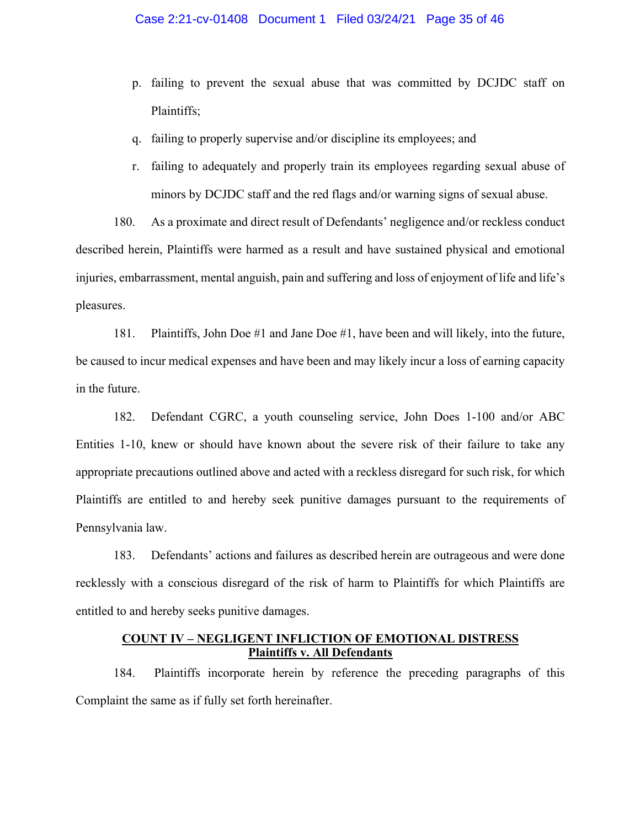- p. failing to prevent the sexual abuse that was committed by DCJDC staff on Plaintiffs;
- q. failing to properly supervise and/or discipline its employees; and
- r. failing to adequately and properly train its employees regarding sexual abuse of minors by DCJDC staff and the red flags and/or warning signs of sexual abuse.

180. As a proximate and direct result of Defendants' negligence and/or reckless conduct described herein, Plaintiffs were harmed as a result and have sustained physical and emotional injuries, embarrassment, mental anguish, pain and suffering and loss of enjoyment of life and life's pleasures.

181. Plaintiffs, John Doe #1 and Jane Doe #1, have been and will likely, into the future, be caused to incur medical expenses and have been and may likely incur a loss of earning capacity in the future.

182. Defendant CGRC, a youth counseling service, John Does 1-100 and/or ABC Entities 1-10, knew or should have known about the severe risk of their failure to take any appropriate precautions outlined above and acted with a reckless disregard for such risk, for which Plaintiffs are entitled to and hereby seek punitive damages pursuant to the requirements of Pennsylvania law.

183. Defendants' actions and failures as described herein are outrageous and were done recklessly with a conscious disregard of the risk of harm to Plaintiffs for which Plaintiffs are entitled to and hereby seeks punitive damages.

## **COUNT IV – NEGLIGENT INFLICTION OF EMOTIONAL DISTRESS Plaintiffs v. All Defendants**

184. Plaintiffs incorporate herein by reference the preceding paragraphs of this Complaint the same as if fully set forth hereinafter.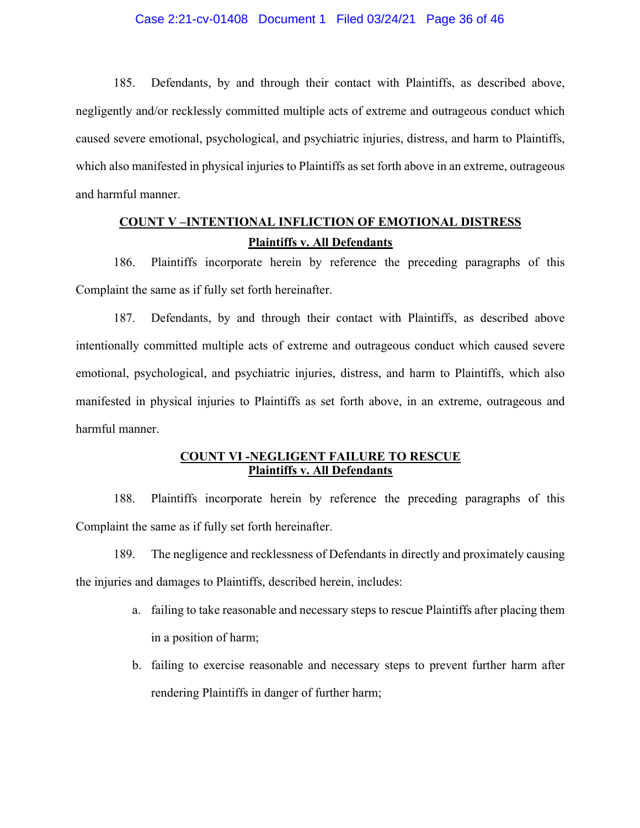#### Case 2:21-cv-01408 Document 1 Filed 03/24/21 Page 36 of 46

185. Defendants, by and through their contact with Plaintiffs, as described above, negligently and/or recklessly committed multiple acts of extreme and outrageous conduct which caused severe emotional, psychological, and psychiatric injuries, distress, and harm to Plaintiffs, which also manifested in physical injuries to Plaintiffs as set forth above in an extreme, outrageous and harmful manner.

# **COUNT V –INTENTIONAL INFLICTION OF EMOTIONAL DISTRESS Plaintiffs v. All Defendants**

186. Plaintiffs incorporate herein by reference the preceding paragraphs of this Complaint the same as if fully set forth hereinafter.

187. Defendants, by and through their contact with Plaintiffs, as described above intentionally committed multiple acts of extreme and outrageous conduct which caused severe emotional, psychological, and psychiatric injuries, distress, and harm to Plaintiffs, which also manifested in physical injuries to Plaintiffs as set forth above, in an extreme, outrageous and harmful manner.

## **COUNT VI -NEGLIGENT FAILURE TO RESCUE Plaintiffs v. All Defendants**

188. Plaintiffs incorporate herein by reference the preceding paragraphs of this Complaint the same as if fully set forth hereinafter.

189. The negligence and recklessness of Defendants in directly and proximately causing the injuries and damages to Plaintiffs, described herein, includes:

- a. failing to take reasonable and necessary steps to rescue Plaintiffs after placing them in a position of harm;
- b. failing to exercise reasonable and necessary steps to prevent further harm after rendering Plaintiffs in danger of further harm;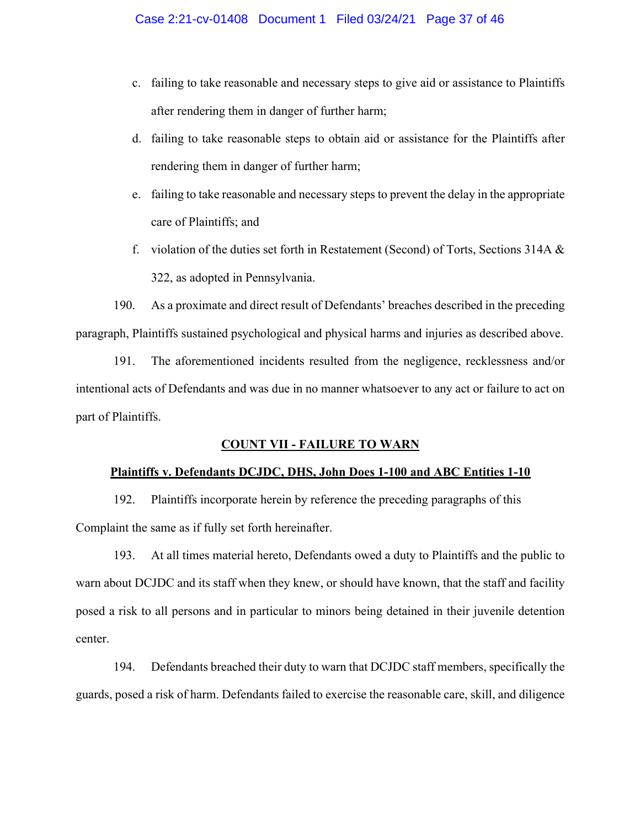- c. failing to take reasonable and necessary steps to give aid or assistance to Plaintiffs after rendering them in danger of further harm;
- d. failing to take reasonable steps to obtain aid or assistance for the Plaintiffs after rendering them in danger of further harm;
- e. failing to take reasonable and necessary steps to prevent the delay in the appropriate care of Plaintiffs; and
- f. violation of the duties set forth in Restatement (Second) of Torts, Sections 314A  $\&$ 322, as adopted in Pennsylvania.

190. As a proximate and direct result of Defendants' breaches described in the preceding paragraph, Plaintiffs sustained psychological and physical harms and injuries as described above.

191. The aforementioned incidents resulted from the negligence, recklessness and/or intentional acts of Defendants and was due in no manner whatsoever to any act or failure to act on part of Plaintiffs.

## **COUNT VII - FAILURE TO WARN**

### **Plaintiffs v. Defendants DCJDC, DHS, John Does 1-100 and ABC Entities 1-10**

192. Plaintiffs incorporate herein by reference the preceding paragraphs of this Complaint the same as if fully set forth hereinafter.

193. At all times material hereto, Defendants owed a duty to Plaintiffs and the public to warn about DCJDC and its staff when they knew, or should have known, that the staff and facility posed a risk to all persons and in particular to minors being detained in their juvenile detention center.

194. Defendants breached their duty to warn that DCJDC staff members, specifically the guards, posed a risk of harm. Defendants failed to exercise the reasonable care, skill, and diligence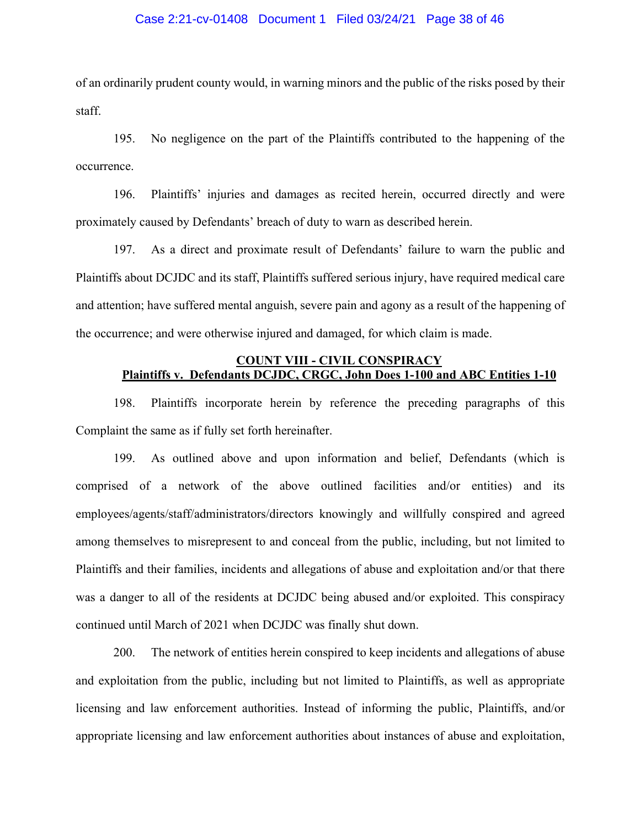#### Case 2:21-cv-01408 Document 1 Filed 03/24/21 Page 38 of 46

of an ordinarily prudent county would, in warning minors and the public of the risks posed by their staff.

195. No negligence on the part of the Plaintiffs contributed to the happening of the occurrence.

196. Plaintiffs' injuries and damages as recited herein, occurred directly and were proximately caused by Defendants' breach of duty to warn as described herein.

197. As a direct and proximate result of Defendants' failure to warn the public and Plaintiffs about DCJDC and its staff, Plaintiffs suffered serious injury, have required medical care and attention; have suffered mental anguish, severe pain and agony as a result of the happening of the occurrence; and were otherwise injured and damaged, for which claim is made.

## **COUNT VIII - CIVIL CONSPIRACY Plaintiffs v. Defendants DCJDC, CRGC, John Does 1-100 and ABC Entities 1-10**

198. Plaintiffs incorporate herein by reference the preceding paragraphs of this Complaint the same as if fully set forth hereinafter.

199. As outlined above and upon information and belief, Defendants (which is comprised of a network of the above outlined facilities and/or entities) and its employees/agents/staff/administrators/directors knowingly and willfully conspired and agreed among themselves to misrepresent to and conceal from the public, including, but not limited to Plaintiffs and their families, incidents and allegations of abuse and exploitation and/or that there was a danger to all of the residents at DCJDC being abused and/or exploited. This conspiracy continued until March of 2021 when DCJDC was finally shut down.

200. The network of entities herein conspired to keep incidents and allegations of abuse and exploitation from the public, including but not limited to Plaintiffs, as well as appropriate licensing and law enforcement authorities. Instead of informing the public, Plaintiffs, and/or appropriate licensing and law enforcement authorities about instances of abuse and exploitation,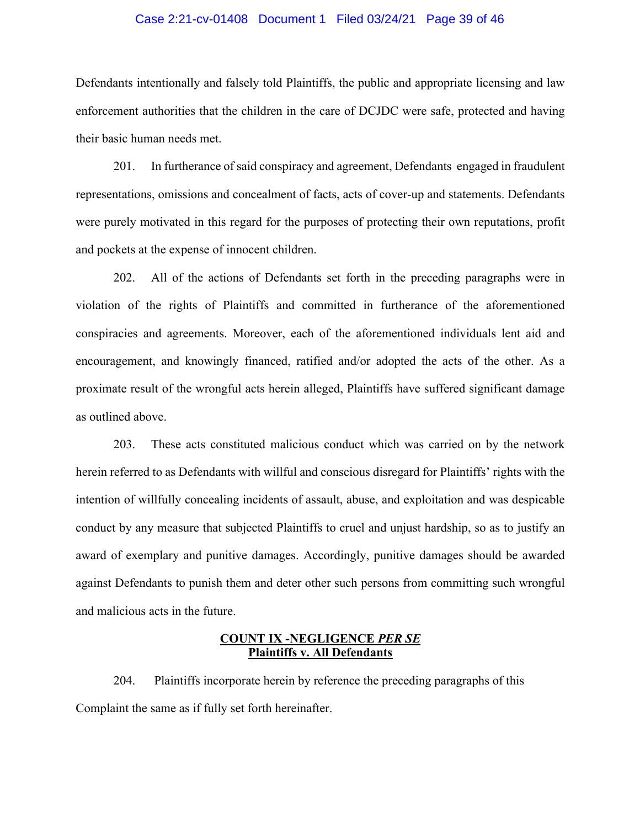#### Case 2:21-cv-01408 Document 1 Filed 03/24/21 Page 39 of 46

Defendants intentionally and falsely told Plaintiffs, the public and appropriate licensing and law enforcement authorities that the children in the care of DCJDC were safe, protected and having their basic human needs met.

201. In furtherance of said conspiracy and agreement, Defendants engaged in fraudulent representations, omissions and concealment of facts, acts of cover-up and statements. Defendants were purely motivated in this regard for the purposes of protecting their own reputations, profit and pockets at the expense of innocent children.

202. All of the actions of Defendants set forth in the preceding paragraphs were in violation of the rights of Plaintiffs and committed in furtherance of the aforementioned conspiracies and agreements. Moreover, each of the aforementioned individuals lent aid and encouragement, and knowingly financed, ratified and/or adopted the acts of the other. As a proximate result of the wrongful acts herein alleged, Plaintiffs have suffered significant damage as outlined above.

203. These acts constituted malicious conduct which was carried on by the network herein referred to as Defendants with willful and conscious disregard for Plaintiffs' rights with the intention of willfully concealing incidents of assault, abuse, and exploitation and was despicable conduct by any measure that subjected Plaintiffs to cruel and unjust hardship, so as to justify an award of exemplary and punitive damages. Accordingly, punitive damages should be awarded against Defendants to punish them and deter other such persons from committing such wrongful and malicious acts in the future.

#### **COUNT IX -NEGLIGENCE** *PER SE* **Plaintiffs v. All Defendants**

204. Plaintiffs incorporate herein by reference the preceding paragraphs of this Complaint the same as if fully set forth hereinafter.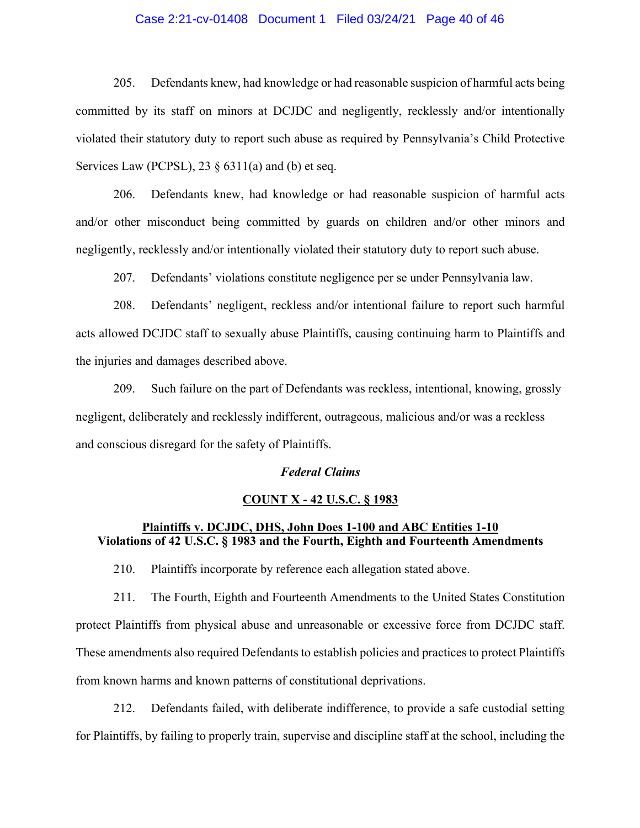#### Case 2:21-cv-01408 Document 1 Filed 03/24/21 Page 40 of 46

205. Defendants knew, had knowledge or had reasonable suspicion of harmful acts being committed by its staff on minors at DCJDC and negligently, recklessly and/or intentionally violated their statutory duty to report such abuse as required by Pennsylvania's Child Protective Services Law (PCPSL),  $23 \S 6311(a)$  and (b) et seq.

206. Defendants knew, had knowledge or had reasonable suspicion of harmful acts and/or other misconduct being committed by guards on children and/or other minors and negligently, recklessly and/or intentionally violated their statutory duty to report such abuse.

207. Defendants' violations constitute negligence per se under Pennsylvania law.

208. Defendants' negligent, reckless and/or intentional failure to report such harmful acts allowed DCJDC staff to sexually abuse Plaintiffs, causing continuing harm to Plaintiffs and the injuries and damages described above.

209. Such failure on the part of Defendants was reckless, intentional, knowing, grossly negligent, deliberately and recklessly indifferent, outrageous, malicious and/or was a reckless and conscious disregard for the safety of Plaintiffs.

## *Federal Claims*

#### **COUNT X - 42 U.S.C. § 1983**

## **Plaintiffs v. DCJDC, DHS, John Does 1-100 and ABC Entities 1-10 Violations of 42 U.S.C. § 1983 and the Fourth, Eighth and Fourteenth Amendments**

210. Plaintiffs incorporate by reference each allegation stated above.

211. The Fourth, Eighth and Fourteenth Amendments to the United States Constitution protect Plaintiffs from physical abuse and unreasonable or excessive force from DCJDC staff. These amendments also required Defendants to establish policies and practices to protect Plaintiffs from known harms and known patterns of constitutional deprivations.

212. Defendants failed, with deliberate indifference, to provide a safe custodial setting for Plaintiffs, by failing to properly train, supervise and discipline staff at the school, including the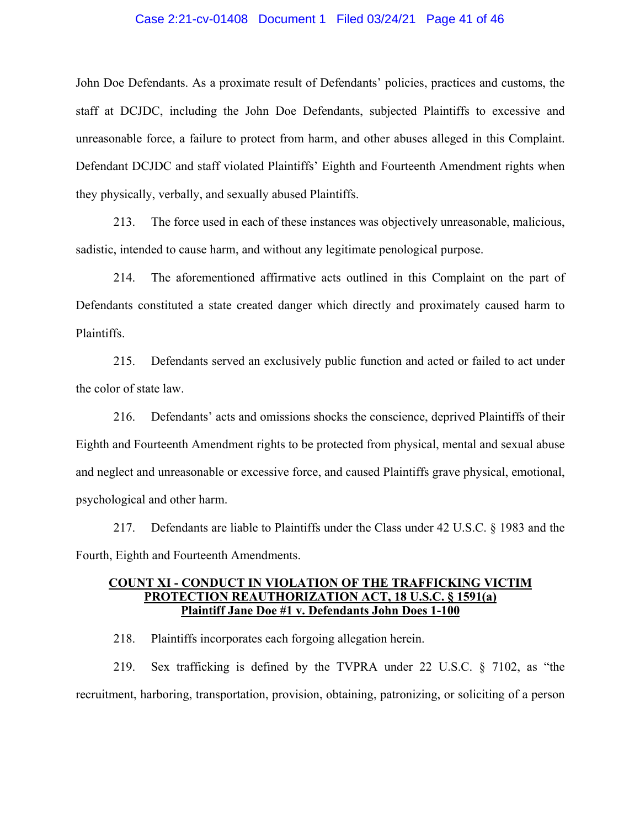#### Case 2:21-cv-01408 Document 1 Filed 03/24/21 Page 41 of 46

John Doe Defendants. As a proximate result of Defendants' policies, practices and customs, the staff at DCJDC, including the John Doe Defendants, subjected Plaintiffs to excessive and unreasonable force, a failure to protect from harm, and other abuses alleged in this Complaint. Defendant DCJDC and staff violated Plaintiffs' Eighth and Fourteenth Amendment rights when they physically, verbally, and sexually abused Plaintiffs.

213. The force used in each of these instances was objectively unreasonable, malicious, sadistic, intended to cause harm, and without any legitimate penological purpose.

214. The aforementioned affirmative acts outlined in this Complaint on the part of Defendants constituted a state created danger which directly and proximately caused harm to Plaintiffs.

215. Defendants served an exclusively public function and acted or failed to act under the color of state law.

216. Defendants' acts and omissions shocks the conscience, deprived Plaintiffs of their Eighth and Fourteenth Amendment rights to be protected from physical, mental and sexual abuse and neglect and unreasonable or excessive force, and caused Plaintiffs grave physical, emotional, psychological and other harm.

217. Defendants are liable to Plaintiffs under the Class under 42 U.S.C. § 1983 and the Fourth, Eighth and Fourteenth Amendments.

## **COUNT XI - CONDUCT IN VIOLATION OF THE TRAFFICKING VICTIM PROTECTION REAUTHORIZATION ACT, 18 U.S.C. § 1591(a) Plaintiff Jane Doe #1 v. Defendants John Does 1-100**

218. Plaintiffs incorporates each forgoing allegation herein.

219. Sex trafficking is defined by the TVPRA under 22 U.S.C. § 7102, as "the recruitment, harboring, transportation, provision, obtaining, patronizing, or soliciting of a person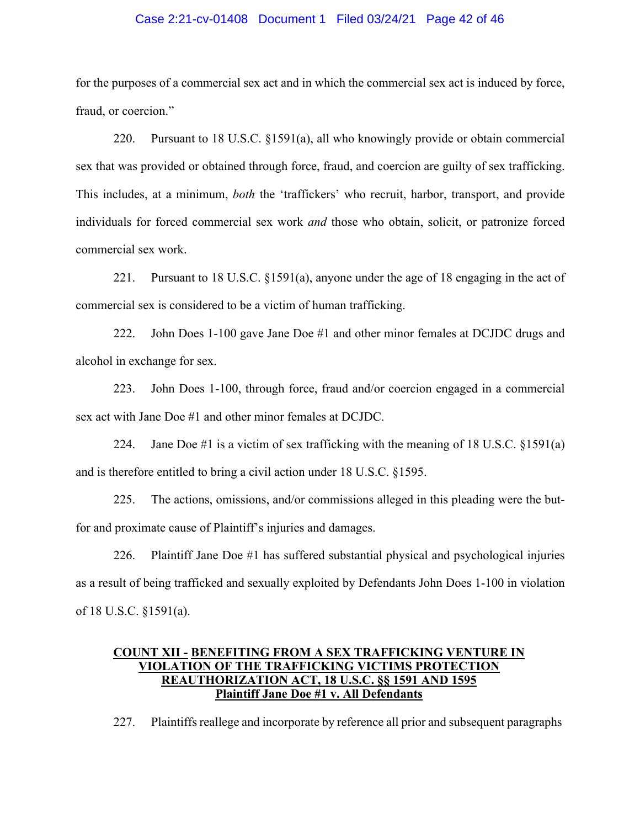#### Case 2:21-cv-01408 Document 1 Filed 03/24/21 Page 42 of 46

for the purposes of a commercial sex act and in which the commercial sex act is induced by force, fraud, or coercion."

220. Pursuant to 18 U.S.C. §1591(a), all who knowingly provide or obtain commercial sex that was provided or obtained through force, fraud, and coercion are guilty of sex trafficking. This includes, at a minimum, *both* the 'traffickers' who recruit, harbor, transport, and provide individuals for forced commercial sex work *and* those who obtain, solicit, or patronize forced commercial sex work.

221. Pursuant to 18 U.S.C. §1591(a), anyone under the age of 18 engaging in the act of commercial sex is considered to be a victim of human trafficking.

222. John Does 1-100 gave Jane Doe #1 and other minor females at DCJDC drugs and alcohol in exchange for sex.

223. John Does 1-100, through force, fraud and/or coercion engaged in a commercial sex act with Jane Doe #1 and other minor females at DCJDC.

224. Jane Doe #1 is a victim of sex trafficking with the meaning of 18 U.S.C. §1591(a) and is therefore entitled to bring a civil action under 18 U.S.C. §1595.

225. The actions, omissions, and/or commissions alleged in this pleading were the butfor and proximate cause of Plaintiff's injuries and damages.

226. Plaintiff Jane Doe #1 has suffered substantial physical and psychological injuries as a result of being trafficked and sexually exploited by Defendants John Does 1-100 in violation of 18 U.S.C. §1591(a).

## **COUNT XII - BENEFITING FROM A SEX TRAFFICKING VENTURE IN VIOLATION OF THE TRAFFICKING VICTIMS PROTECTION REAUTHORIZATION ACT, 18 U.S.C. §§ 1591 AND 1595 Plaintiff Jane Doe #1 v. All Defendants**

227. Plaintiffs reallege and incorporate by reference all prior and subsequent paragraphs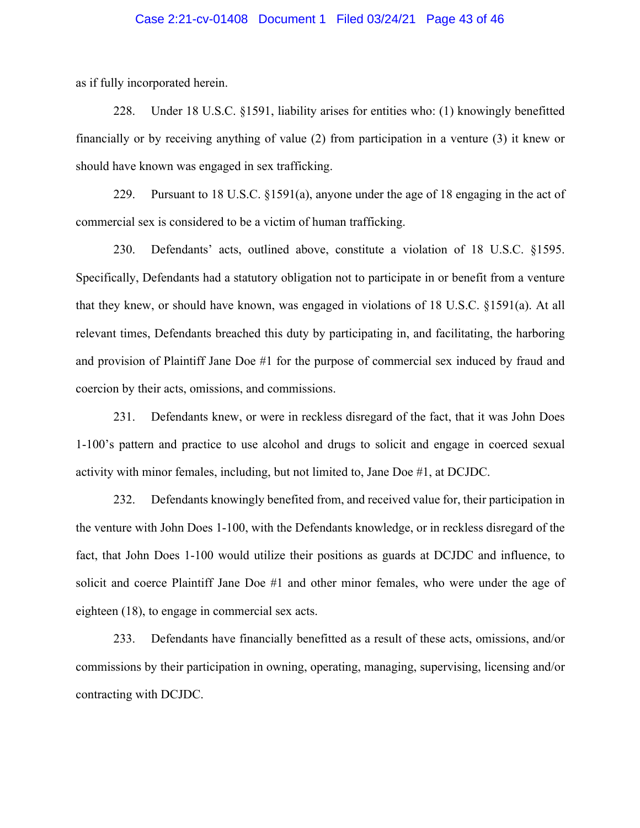#### Case 2:21-cv-01408 Document 1 Filed 03/24/21 Page 43 of 46

as if fully incorporated herein.

228. Under 18 U.S.C. §1591, liability arises for entities who: (1) knowingly benefitted financially or by receiving anything of value (2) from participation in a venture (3) it knew or should have known was engaged in sex trafficking.

229. Pursuant to 18 U.S.C. §1591(a), anyone under the age of 18 engaging in the act of commercial sex is considered to be a victim of human trafficking.

230. Defendants' acts, outlined above, constitute a violation of 18 U.S.C. §1595. Specifically, Defendants had a statutory obligation not to participate in or benefit from a venture that they knew, or should have known, was engaged in violations of 18 U.S.C. §1591(a). At all relevant times, Defendants breached this duty by participating in, and facilitating, the harboring and provision of Plaintiff Jane Doe #1 for the purpose of commercial sex induced by fraud and coercion by their acts, omissions, and commissions.

231. Defendants knew, or were in reckless disregard of the fact, that it was John Does 1-100's pattern and practice to use alcohol and drugs to solicit and engage in coerced sexual activity with minor females, including, but not limited to, Jane Doe #1, at DCJDC.

232. Defendants knowingly benefited from, and received value for, their participation in the venture with John Does 1-100, with the Defendants knowledge, or in reckless disregard of the fact, that John Does 1-100 would utilize their positions as guards at DCJDC and influence, to solicit and coerce Plaintiff Jane Doe #1 and other minor females, who were under the age of eighteen (18), to engage in commercial sex acts.

233. Defendants have financially benefitted as a result of these acts, omissions, and/or commissions by their participation in owning, operating, managing, supervising, licensing and/or contracting with DCJDC.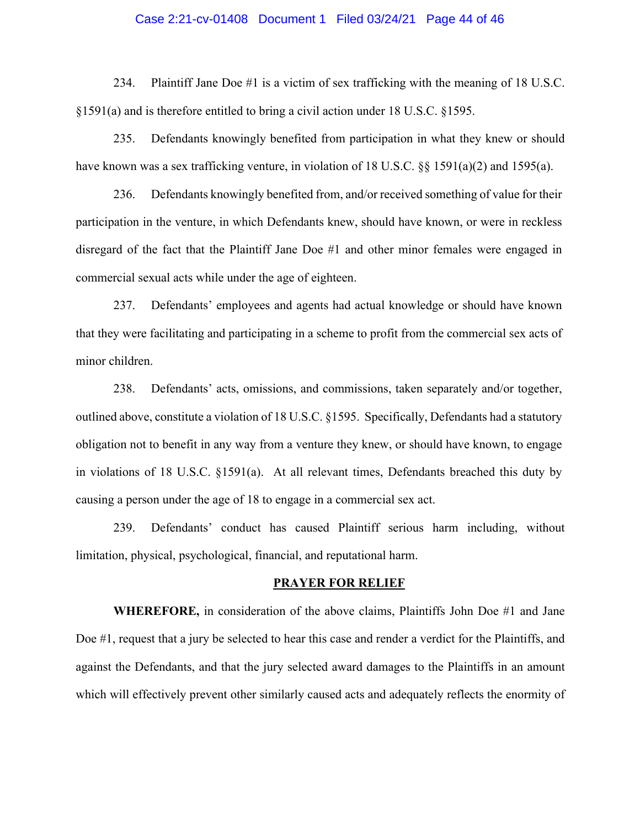#### Case 2:21-cv-01408 Document 1 Filed 03/24/21 Page 44 of 46

234. Plaintiff Jane Doe #1 is a victim of sex trafficking with the meaning of 18 U.S.C. §1591(a) and is therefore entitled to bring a civil action under 18 U.S.C. §1595.

235. Defendants knowingly benefited from participation in what they knew or should have known was a sex trafficking venture, in violation of 18 U.S.C. §§ 1591(a)(2) and 1595(a).

236. Defendants knowingly benefited from, and/or received something of value for their participation in the venture, in which Defendants knew, should have known, or were in reckless disregard of the fact that the Plaintiff Jane Doe #1 and other minor females were engaged in commercial sexual acts while under the age of eighteen.

237. Defendants' employees and agents had actual knowledge or should have known that they were facilitating and participating in a scheme to profit from the commercial sex acts of minor children.

238. Defendants' acts, omissions, and commissions, taken separately and/or together, outlined above, constitute a violation of 18 U.S.C. §1595. Specifically, Defendants had a statutory obligation not to benefit in any way from a venture they knew, or should have known, to engage in violations of 18 U.S.C. §1591(a). At all relevant times, Defendants breached this duty by causing a person under the age of 18 to engage in a commercial sex act.

239. Defendants' conduct has caused Plaintiff serious harm including, without limitation, physical, psychological, financial, and reputational harm.

#### **PRAYER FOR RELIEF**

**WHEREFORE,** in consideration of the above claims, Plaintiffs John Doe #1 and Jane Doe #1, request that a jury be selected to hear this case and render a verdict for the Plaintiffs, and against the Defendants, and that the jury selected award damages to the Plaintiffs in an amount which will effectively prevent other similarly caused acts and adequately reflects the enormity of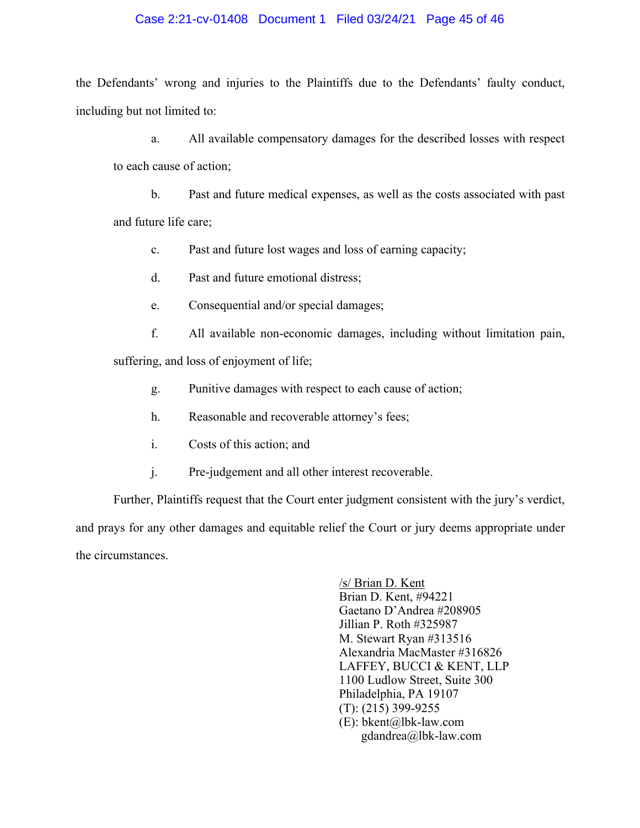### Case 2:21-cv-01408 Document 1 Filed 03/24/21 Page 45 of 46

the Defendants' wrong and injuries to the Plaintiffs due to the Defendants' faulty conduct, including but not limited to:

a. All available compensatory damages for the described losses with respect to each cause of action;

b. Past and future medical expenses, as well as the costs associated with past and future life care;

c. Past and future lost wages and loss of earning capacity;

d. Past and future emotional distress;

e. Consequential and/or special damages;

f. All available non-economic damages, including without limitation pain, suffering, and loss of enjoyment of life;

- g. Punitive damages with respect to each cause of action;
- h. Reasonable and recoverable attorney's fees;
- i. Costs of this action; and
- j. Pre-judgement and all other interest recoverable.

Further, Plaintiffs request that the Court enter judgment consistent with the jury's verdict, and prays for any other damages and equitable relief the Court or jury deems appropriate under the circumstances.

> /s/ Brian D. Kent Brian D. Kent, #94221 Gaetano D'Andrea #208905 Jillian P. Roth #325987 M. Stewart Ryan #313516 Alexandria MacMaster #316826 LAFFEY, BUCCI & KENT, LLP 1100 Ludlow Street, Suite 300 Philadelphia, PA 19107 (T): (215) 399-9255 (E): bkent@lbk-law.com gdandrea@lbk-law.com